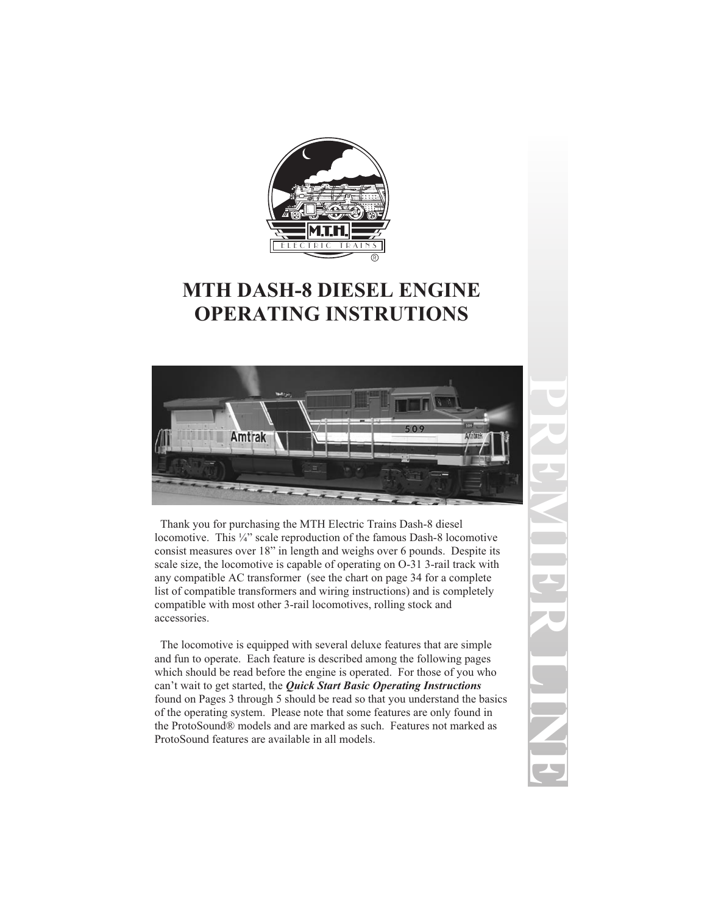

# **MTH DASH-8 DIESEL ENGINE OPERATING INSTRUTIONS**



Thank you for purchasing the MTH Electric Trains Dash-8 diesel locomotive. This ¼" scale reproduction of the famous Dash-8 locomotive consist measures over 18" in length and weighs over 6 pounds. Despite its scale size, the locomotive is capable of operating on O-31 3-rail track with any compatible AC transformer (see the chart on page 34 for a complete list of compatible transformers and wiring instructions) and is completely compatible with most other 3-rail locomotives, rolling stock and accessories.

The locomotive is equipped with several deluxe features that are simple and fun to operate. Each feature is described among the following pages which should be read before the engine is operated. For those of you who can't wait to get started, the *Quick Start Basic Operating Instructions* found on Pages 3 through 5 should be read so that you understand the basics of the operating system. Please note that some features are only found in the ProtoSound® models and are marked as such. Features not marked as ProtoSound features are available in all models.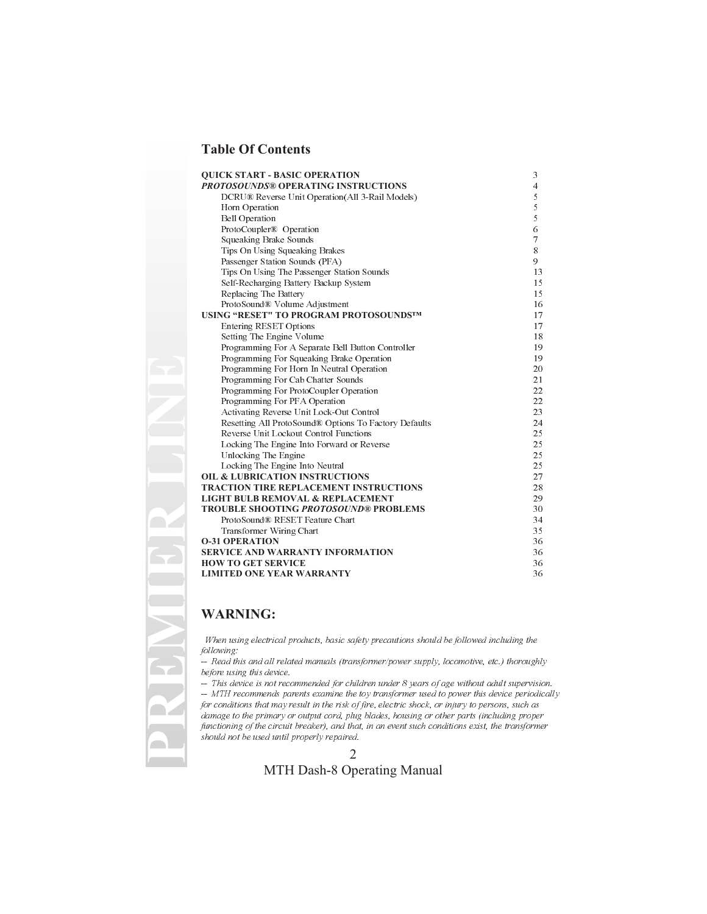#### **Table Of Contents**

| <b>OUICK START - BASIC OPERATION</b>                  | 3              |
|-------------------------------------------------------|----------------|
| <b>PROTOSOUNDS® OPERATING INSTRUCTIONS</b>            | $\overline{4}$ |
| DCRU® Reverse Unit Operation (All 3-Rail Models)      | 5              |
| Horn Operation                                        | 5              |
| <b>Bell Operation</b>                                 | 5              |
| ProtoCoupler® Operation                               | 6              |
| Squeaking Brake Sounds                                | $\tau$         |
| Tips On Using Squeaking Brakes                        | 8              |
| Passenger Station Sounds (PFA)                        | 9              |
| Tips On Using The Passenger Station Sounds            | 13             |
| Self-Recharging Battery Backup System                 | 15             |
| Replacing The Battery                                 | 15             |
| ProtoSound® Volume Adjustment                         | 16             |
| USING "RESET" TO PROGRAM PROTOSOUNDSTM                | 17             |
| <b>Entering RESET Options</b>                         | 17             |
| Setting The Engine Volume                             | 18             |
| Programming For A Separate Bell Button Controller     | 19             |
| Programming For Squeaking Brake Operation             | 19             |
| Programming For Horn In Neutral Operation             | 20             |
| Programming For Cab Chatter Sounds                    | 21             |
| Programming For ProtoCoupler Operation                | 22             |
| Programming For PFA Operation                         | 22             |
| Activating Reverse Unit Lock-Out Control              | 23             |
| Resetting All ProtoSound® Options To Factory Defaults | 24             |
| Reverse Unit Lockout Control Functions                | 25             |
| Locking The Engine Into Forward or Reverse            | 25             |
| Unlocking The Engine                                  | 25             |
| Locking The Engine Into Neutral                       | 25             |
| <b>OIL &amp; LUBRICATION INSTRUCTIONS</b>             | 27             |
| <b>TRACTION TIRE REPLACEMENT INSTRUCTIONS</b>         | 28             |
| <b>LIGHT BULB REMOVAL &amp; REPLACEMENT</b>           | 29             |
| <b>TROUBLE SHOOTING PROTOSOUND® PROBLEMS</b>          | 30             |
| ProtoSound® RESET Feature Chart                       | 34             |
| Transformer Wiring Chart                              | 35             |
| <b>O-31 OPERATION</b>                                 | 36             |
| <b>SERVICE AND WARRANTY INFORMATION</b>               | 36             |
| <b>HOW TO GET SERVICE</b>                             | 36             |
| <b>LIMITED ONE YEAR WARRANTY</b>                      | 36             |

#### **WARNING:**

When using electrical products, basic safety precautions should be followed including the following:

-- Read this and all related manuals (transformer/power supply, locomotive, etc.) thoroughly before using this device.

-- This device is not recommended for children under 8 years of age without adult supervision.

-- MTH recommends parents examine the toy transformer used to power this device periodically for conditions that may result in the risk of fire, electric shock, or injury to persons, such as damage to the primary or output cord, plug blades, housing or other parts (including proper functioning of the circuit breaker), and that, in an event such conditions exist, the transformer should not be used until properly repaired.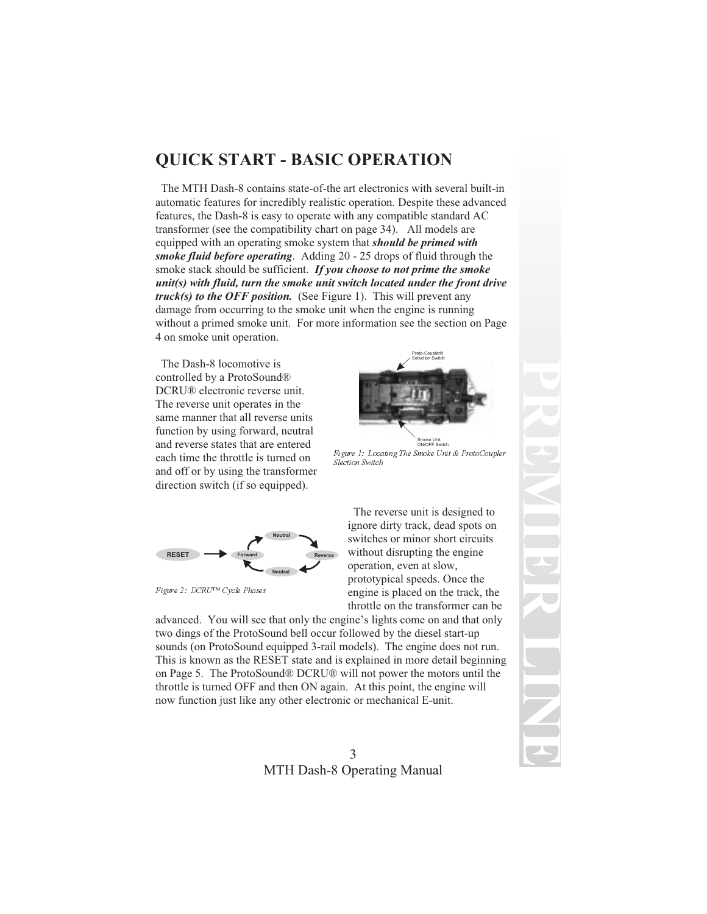# **QUICK START - BASIC OPERATION**

The MTH Dash-8 contains state-of-the art electronics with several built-in automatic features for incredibly realistic operation. Despite these advanced features, the Dash-8 is easy to operate with any compatible standard AC transformer (see the compatibility chart on page 34). All models are equipped with an operating smoke system that *should be primed with smoke fluid before operating*. Adding 20 - 25 drops of fluid through the smoke stack should be sufficient. *If you choose to not prime the smoke unit(s) with fluid, turn the smoke unit switch located under the front drive truck(s) to the OFF position.* (See Figure 1). This will prevent any damage from occurring to the smoke unit when the engine is running without a primed smoke unit. For more information see the section on Page 4 on smoke unit operation.

The Dash-8 locomotive is controlled by a ProtoSound® DCRU® electronic reverse unit. The reverse unit operates in the same manner that all reverse units function by using forward, neutral and reverse states that are entered each time the throttle is turned on and off or by using the transformer direction switch (if so equipped).



Smoke Unit ON/OFF Switch Figure 1: Locating The Smoke Unit & ProtoCoupler Slection Switch



Figure 2: DCRU™ Cycle Phases

The reverse unit is designed to ignore dirty track, dead spots on switches or minor short circuits without disrupting the engine operation, even at slow, prototypical speeds. Once the engine is placed on the track, the throttle on the transformer can be

advanced. You will see that only the engine's lights come on and that only two dings of the ProtoSound bell occur followed by the diesel start-up sounds (on ProtoSound equipped 3-rail models). The engine does not run. This is known as the RESET state and is explained in more detail beginning on Page 5. The ProtoSound® DCRU® will not power the motors until the throttle is turned OFF and then ON again. At this point, the engine will now function just like any other electronic or mechanical E-unit.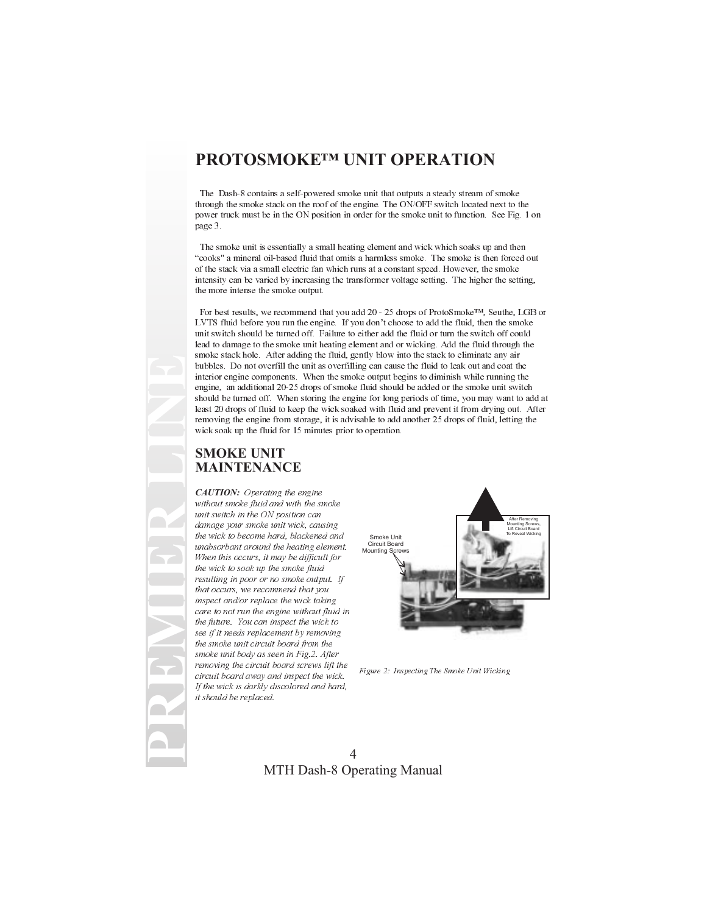## **PROTOSMOKE™ UNIT OPERATION**

The Dash-8 contains a self-powered smoke unit that outputs a steady stream of smoke through the smoke stack on the roof of the engine. The ON/OFF switch located next to the power truck must be in the ON position in order for the smoke unit to function. See Fig. 1 on page 3.

The smoke unit is essentially a small heating element and wick which soaks up and then cooks" a mineral oil-based fluid that omits a harmless smoke. The smoke is then forced out of the stack via a small electric fan which runs at a constant speed. However, the smoke intensity can be varied by increasing the transformer voltage setting. The higher the setting, the more intense the smoke output.

For best results, we recommend that you add 20 - 25 drops of ProtoSmoke™, Seuthe, LGB or LVTS fluid before you run the engine. If you don't choose to add the fluid, then the smoke unit switch should be turned off. Failure to either add the fluid or turn the switch off could lead to damage to the smoke unit heating element and or wicking. Add the fluid through the smoke stack hole. After adding the fluid, gently blow into the stack to eliminate any air bubbles. Do not overfill the unit as overfilling can cause the fluid to leak out and coat the interior engine components. When the smoke output begins to diminish while running the engine, an additional 20-25 drops of smoke fluid should be added or the smoke unit switch should be turned off. When storing the engine for long periods of time, you may want to add at least 20 drops of fluid to keep the wick soaked with fluid and prevent it from drying out. After removing the engine from storage, it is advisable to add another 25 drops of fluid, letting the wick soak up the fluid for 15 minutes prior to operation.

#### **SMOKE UNIT MAINTENANCE**

**PREMIER LINE**

*CAUTION:* Operating the engine without smoke fluid and with the smoke unit switch in the ON position can damage your smoke unit wick, causing the wick to become hard, blackened and unabsorbant around the heating element. When this occurs, it may be difficult for the wick to soak up the smoke fluid resulting in poor or no smoke output. If that occurs, we recommend that you inspect and/or replace the wick taking care to not run the engine without fluid in the future. You can inspect the wick to see if it needs replacement by removing the smoke unit circuit board from the smoke unit body as seen in Fig.2. After removing the circuit board screws lift the circuit board away and inspect the wick. If the wick is darkly discolored and hard, it should be replaced.



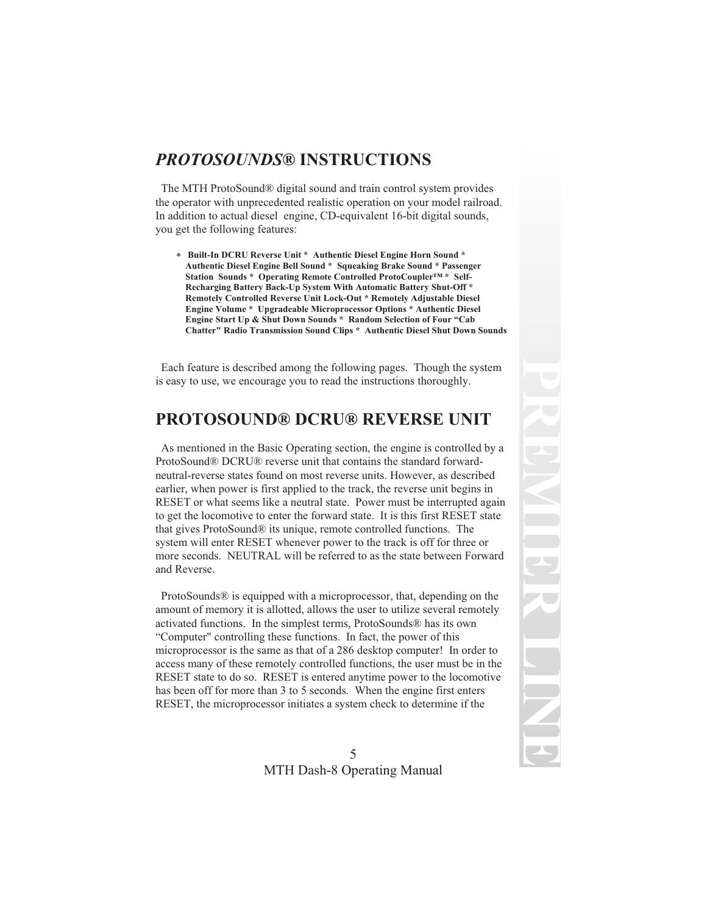## *PROTOSOUNDS***® INSTRUCTIONS**

The MTH ProtoSound® digital sound and train control system provides the operator with unprecedented realistic operation on your model railroad. In addition to actual diesel engine, CD-equivalent 16-bit digital sounds, you get the following features:

\* **Built-In DCRU Reverse Unit \* Authentic Diesel Engine Horn Sound \* Authentic Diesel Engine Bell Sound \* Squeaking Brake Sound \* Passenger Station Sounds \* Operating Remote Controlled ProtoCoupler™ \* Self-Recharging Battery Back-Up System With Automatic Battery Shut-Off \* Remotely Controlled Reverse Unit Lock-Out \* Remotely Adjustable Diesel Engine Volume \* Upgradeable Microprocessor Options \* Authentic Diesel Engine Start Up & Shut Down Sounds \* Random Selection of Four "Cab Chatter" Radio Transmission Sound Clips \* Authentic Diesel Shut Down Sounds**

Each feature is described among the following pages. Though the system is easy to use, we encourage you to read the instructions thoroughly.

## **PROTOSOUND® DCRU® REVERSE UNIT**

As mentioned in the Basic Operating section, the engine is controlled by a ProtoSound® DCRU® reverse unit that contains the standard forwardneutral-reverse states found on most reverse units. However, as described earlier, when power is first applied to the track, the reverse unit begins in RESET or what seems like a neutral state. Power must be interrupted again to get the locomotive to enter the forward state. It is this first RESET state that gives ProtoSound® its unique, remote controlled functions. The system will enter RESET whenever power to the track is off for three or more seconds. NEUTRAL will be referred to as the state between Forward and Reverse.

ProtoSounds® is equipped with a microprocessor, that, depending on the amount of memory it is allotted, allows the user to utilize several remotely activated functions. In the simplest terms, ProtoSounds® has its own "Computer" controlling these functions. In fact, the power of this microprocessor is the same as that of a 286 desktop computer! In order to access many of these remotely controlled functions, the user must be in the RESET state to do so. RESET is entered anytime power to the locomotive has been off for more than 3 to 5 seconds. When the engine first enters RESET, the microprocessor initiates a system check to determine if the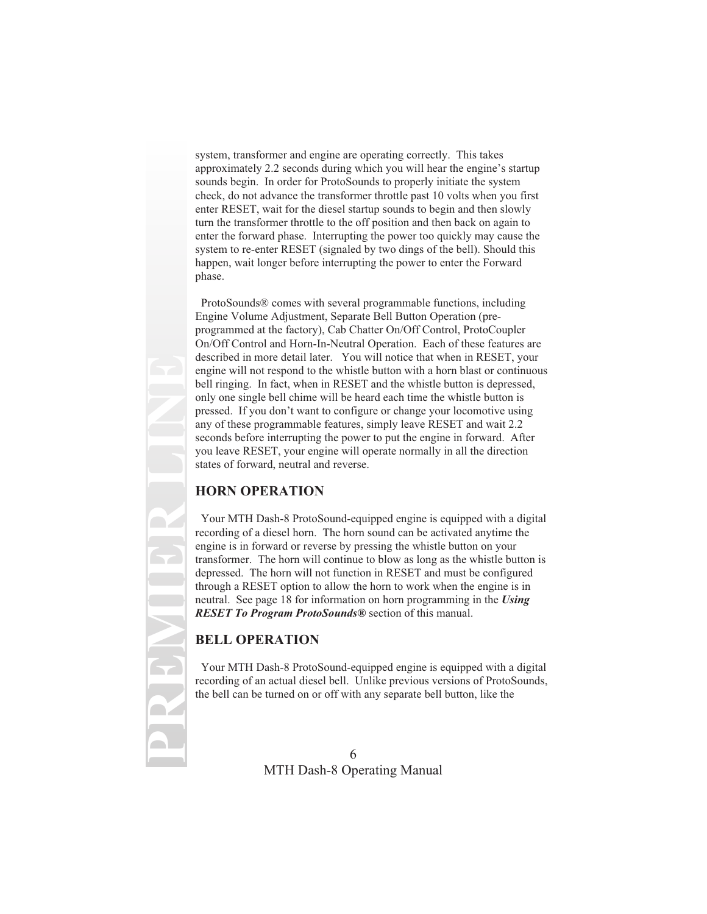system, transformer and engine are operating correctly. This takes approximately 2.2 seconds during which you will hear the engine's startup sounds begin. In order for ProtoSounds to properly initiate the system check, do not advance the transformer throttle past 10 volts when you first enter RESET, wait for the diesel startup sounds to begin and then slowly turn the transformer throttle to the off position and then back on again to enter the forward phase. Interrupting the power too quickly may cause the system to re-enter RESET (signaled by two dings of the bell). Should this happen, wait longer before interrupting the power to enter the Forward phase.

ProtoSounds® comes with several programmable functions, including Engine Volume Adjustment, Separate Bell Button Operation (preprogrammed at the factory), Cab Chatter On/Off Control, ProtoCoupler On/Off Control and Horn-In-Neutral Operation. Each of these features are described in more detail later. You will notice that when in RESET, your engine will not respond to the whistle button with a horn blast or continuous bell ringing. In fact, when in RESET and the whistle button is depressed, only one single bell chime will be heard each time the whistle button is pressed. If you don't want to configure or change your locomotive using any of these programmable features, simply leave RESET and wait 2.2 seconds before interrupting the power to put the engine in forward. After you leave RESET, your engine will operate normally in all the direction states of forward, neutral and reverse.

### **HORN OPERATION**

Your MTH Dash-8 ProtoSound-equipped engine is equipped with a digital recording of a diesel horn. The horn sound can be activated anytime the engine is in forward or reverse by pressing the whistle button on your transformer. The horn will continue to blow as long as the whistle button is depressed. The horn will not function in RESET and must be configured through a RESET option to allow the horn to work when the engine is in neutral. See page 18 for information on horn programming in the *Using RESET To Program ProtoSounds®* section of this manual.

## **BELL OPERATION**

**PREMIER LINE**

Your MTH Dash-8 ProtoSound-equipped engine is equipped with a digital recording of an actual diesel bell. Unlike previous versions of ProtoSounds, the bell can be turned on or off with any separate bell button, like the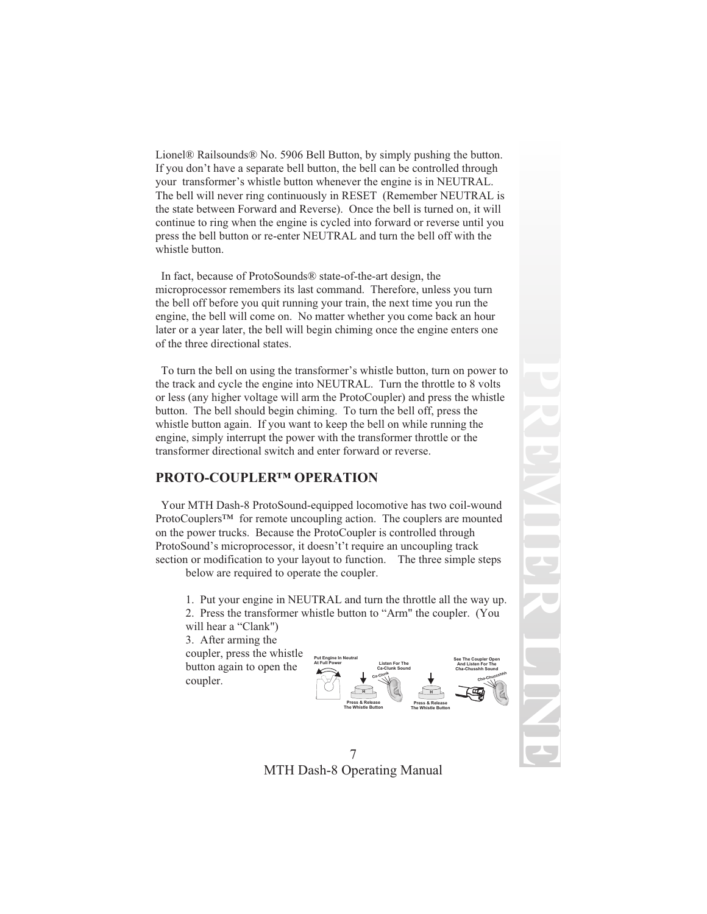Lionel® Railsounds® No. 5906 Bell Button, by simply pushing the button. If you don't have a separate bell button, the bell can be controlled through your transformer's whistle button whenever the engine is in NEUTRAL. The bell will never ring continuously in RESET (Remember NEUTRAL is the state between Forward and Reverse). Once the bell is turned on, it will continue to ring when the engine is cycled into forward or reverse until you press the bell button or re-enter NEUTRAL and turn the bell off with the whistle button.

In fact, because of ProtoSounds® state-of-the-art design, the microprocessor remembers its last command. Therefore, unless you turn the bell off before you quit running your train, the next time you run the engine, the bell will come on. No matter whether you come back an hour later or a year later, the bell will begin chiming once the engine enters one of the three directional states.

To turn the bell on using the transformer's whistle button, turn on power to the track and cycle the engine into NEUTRAL. Turn the throttle to 8 volts or less (any higher voltage will arm the ProtoCoupler) and press the whistle button. The bell should begin chiming. To turn the bell off, press the whistle button again. If you want to keep the bell on while running the engine, simply interrupt the power with the transformer throttle or the transformer directional switch and enter forward or reverse.

#### **PROTO-COUPLER™ OPERATION**

Your MTH Dash-8 ProtoSound-equipped locomotive has two coil-wound ProtoCouplers<sup>™</sup> for remote uncoupling action. The couplers are mounted on the power trucks. Because the ProtoCoupler is controlled through ProtoSound's microprocessor, it doesn't't require an uncoupling track section or modification to your layout to function. The three simple steps

below are required to operate the coupler.

1. Put your engine in NEUTRAL and turn the throttle all the way up. 2. Press the transformer whistle button to "Arm" the coupler. (You will hear a "Clank")

3. After arming the coupler, press the whistle button again to open the coupler.





**PREMIER**

**LINE**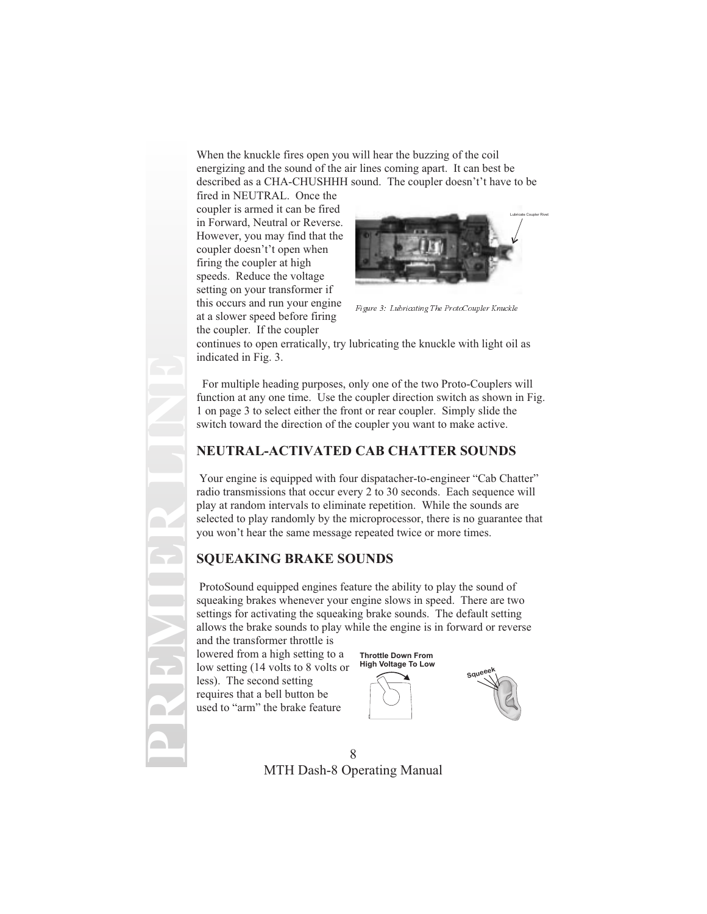When the knuckle fires open you will hear the buzzing of the coil energizing and the sound of the air lines coming apart. It can best be described as a CHA-CHUSHHH sound. The coupler doesn't't have to be

fired in NEUTRAL. Once the coupler is armed it can be fired in Forward, Neutral or Reverse. However, you may find that the coupler doesn't't open when firing the coupler at high speeds. Reduce the voltage setting on your transformer if this occurs and run your engine at a slower speed before firing the coupler. If the coupler



Figure 3: Lubricating The ProtoCoupler Knuckle

continues to open erratically, try lubricating the knuckle with light oil as indicated in Fig. 3.

For multiple heading purposes, only one of the two Proto-Couplers will function at any one time. Use the coupler direction switch as shown in Fig. 1 on page 3 to select either the front or rear coupler. Simply slide the switch toward the direction of the coupler you want to make active.

#### **NEUTRAL-ACTIVATED CAB CHATTER SOUNDS**

Your engine is equipped with four dispatacher-to-engineer "Cab Chatter" radio transmissions that occur every 2 to 30 seconds. Each sequence will play at random intervals to eliminate repetition. While the sounds are selected to play randomly by the microprocessor, there is no guarantee that you won't hear the same message repeated twice or more times.

### **SQUEAKING BRAKE SOUNDS**

ProtoSound equipped engines feature the ability to play the sound of squeaking brakes whenever your engine slows in speed. There are two settings for activating the squeaking brake sounds. The default setting allows the brake sounds to play while the engine is in forward or reverse and the transformer throttle is

lowered from a high setting to a low setting (14 volts to 8 volts or less). The second setting requires that a bell button be used to "arm" the brake feature

**Throttle Down From High Voltage To Low**



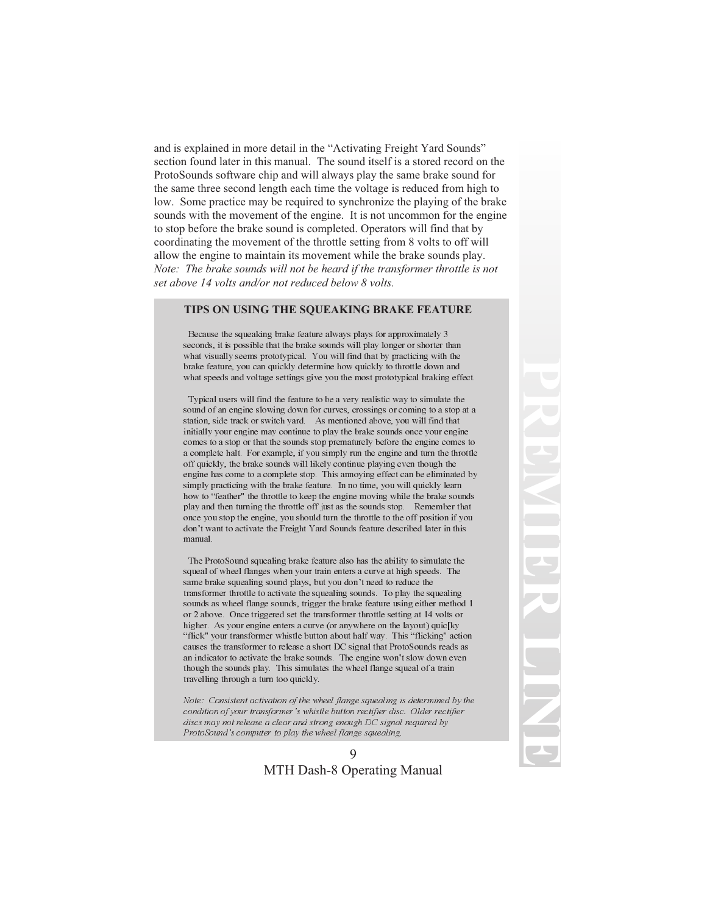and is explained in more detail in the "Activating Freight Yard Sounds" section found later in this manual. The sound itself is a stored record on the ProtoSounds software chip and will always play the same brake sound for the same three second length each time the voltage is reduced from high to low. Some practice may be required to synchronize the playing of the brake sounds with the movement of the engine. It is not uncommon for the engine to stop before the brake sound is completed. Operators will find that by coordinating the movement of the throttle setting from 8 volts to off will allow the engine to maintain its movement while the brake sounds play. *Note: The brake sounds will not be heard if the transformer throttle is not set above 14 volts and/or not reduced below 8 volts.*

#### **TIPS ON USING THE SQUEAKING BRAKE FEATURE**

Because the squeaking brake feature always plays for approximately 3 seconds, it is possible that the brake sounds will play longer or shorter than what visually seems prototypical. You will find that by practicing with the brake feature, you can quickly determine how quickly to throttle down and what speeds and voltage settings give you the most prototypical braking effect.

Typical users will find the feature to be a very realistic way to simulate the sound of an engine slowing down for curves, crossings or coming to a stop at a station, side track or switch yard. As mentioned above, you will find that initially your engine may continue to play the brake sounds once your engine comes to a stop or that the sounds stop prematurely before the engine comes to a complete halt. For example, if you simply run the engine and turn the throttle off quickly, the brake sounds will likely continue playing even though the engine has come to a complete stop. This annoying effect can be eliminated by simply practicing with the brake feature. In no time, you will quickly learn how to "feather" the throttle to keep the engine moving while the brake sounds play and then turning the throttle off just as the sounds stop. Remember that once you stop the engine, you should turn the throttle to the off position if you don't want to activate the Freight Yard Sounds feature described later in this manual.

The ProtoSound squealing brake feature also has the ability to simulate the squeal of wheel flanges when your train enters a curve at high speeds. The same brake squealing sound plays, but you don't need to reduce the transformer throttle to activate the squealing sounds. To play the squealing sounds as wheel flange sounds, trigger the brake feature using either method 1 or 2 above. Once triggered set the transformer throttle setting at 14 volts or higher. As your engine enters a curve (or anywhere on the layout) quic[ky "flick" your transformer whistle button about half way. This "flicking" action causes the transformer to release a short DC signal that ProtoSounds reads as an indicator to activate the brake sounds. The engine won't slow down even though the sounds play. This simulates the wheel flange squeal of a train travelling through a turn too quickly.

Note: Consistent activation of the wheel flange squealing is determined by the condition of your transformer's whistle button rectifier disc. Older rectifier discs may not release a clear and strong enough DC signal required by ProtoSound's computer to play the wheel flange squealing.

#### 9 MTH Dash-8 Operating Manual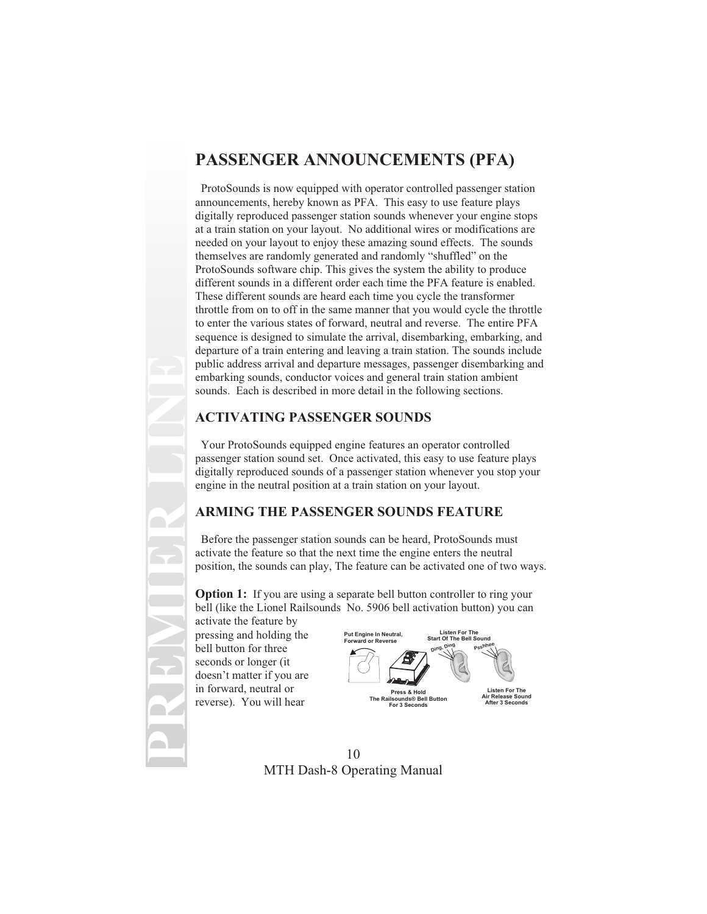# **PASSENGER ANNOUNCEMENTS (PFA)**

ProtoSounds is now equipped with operator controlled passenger station announcements, hereby known as PFA. This easy to use feature plays digitally reproduced passenger station sounds whenever your engine stops at a train station on your layout. No additional wires or modifications are needed on your layout to enjoy these amazing sound effects. The sounds themselves are randomly generated and randomly "shuffled" on the ProtoSounds software chip. This gives the system the ability to produce different sounds in a different order each time the PFA feature is enabled. These different sounds are heard each time you cycle the transformer throttle from on to off in the same manner that you would cycle the throttle to enter the various states of forward, neutral and reverse. The entire PFA sequence is designed to simulate the arrival, disembarking, embarking, and departure of a train entering and leaving a train station. The sounds include public address arrival and departure messages, passenger disembarking and embarking sounds, conductor voices and general train station ambient sounds. Each is described in more detail in the following sections.

### **ACTIVATING PASSENGER SOUNDS**

Your ProtoSounds equipped engine features an operator controlled passenger station sound set. Once activated, this easy to use feature plays digitally reproduced sounds of a passenger station whenever you stop your engine in the neutral position at a train station on your layout.

### **ARMING THE PASSENGER SOUNDS FEATURE**

Before the passenger station sounds can be heard, ProtoSounds must activate the feature so that the next time the engine enters the neutral position, the sounds can play, The feature can be activated one of two ways.

**Option 1:** If you are using a separate bell button controller to ring your bell (like the Lionel Railsounds No. 5906 bell activation button) you can

activate the feature by pressing and holding the bell button for three seconds or longer (it doesn't matter if you are in forward, neutral or reverse). You will hear

**PREMIER LINE**

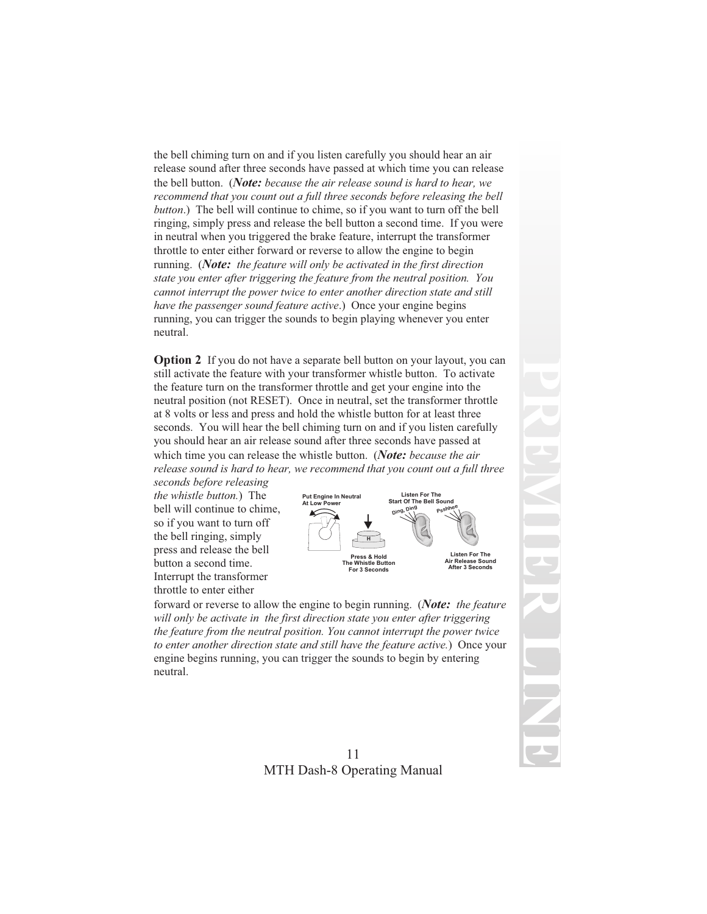the bell chiming turn on and if you listen carefully you should hear an air release sound after three seconds have passed at which time you can release the bell button. (*Note: because the air release sound is hard to hear, we recommend that you count out a full three seconds before releasing the bell button*.) The bell will continue to chime, so if you want to turn off the bell ringing, simply press and release the bell button a second time. If you were in neutral when you triggered the brake feature, interrupt the transformer throttle to enter either forward or reverse to allow the engine to begin running. (*Note: the feature will only be activated in the first direction state you enter after triggering the feature from the neutral position. You cannot interrupt the power twice to enter another direction state and still have the passenger sound feature active*.) Once your engine begins running, you can trigger the sounds to begin playing whenever you enter neutral.

**Option 2** If you do not have a separate bell button on your layout, you can still activate the feature with your transformer whistle button. To activate the feature turn on the transformer throttle and get your engine into the neutral position (not RESET). Once in neutral, set the transformer throttle at 8 volts or less and press and hold the whistle button for at least three seconds. You will hear the bell chiming turn on and if you listen carefully you should hear an air release sound after three seconds have passed at which time you can release the whistle button. (*Note: because the air release sound is hard to hear, we recommend that you count out a full three*

*seconds before releasing the whistle button.*) The bell will continue to chime, so if you want to turn off the bell ringing, simply press and release the bell button a second time. Interrupt the transformer throttle to enter either



forward or reverse to allow the engine to begin running. (*Note: the feature will only be activate in the first direction state you enter after triggering the feature from the neutral position. You cannot interrupt the power twice to enter another direction state and still have the feature active.*) Once your engine begins running, you can trigger the sounds to begin by entering neutral.

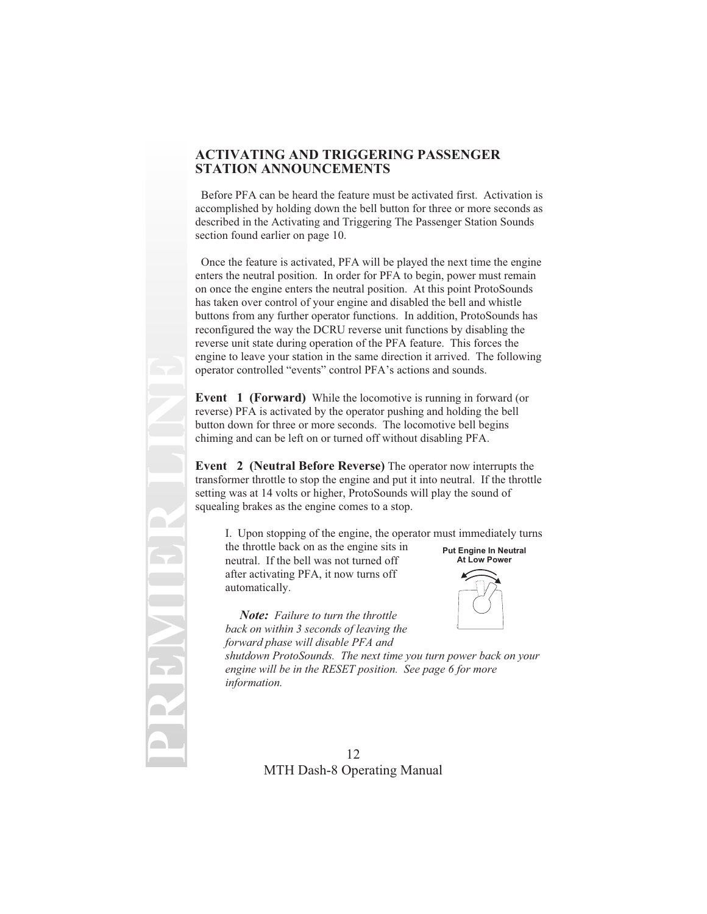#### **ACTIVATING AND TRIGGERING PASSENGER STATION ANNOUNCEMENTS**

Before PFA can be heard the feature must be activated first. Activation is accomplished by holding down the bell button for three or more seconds as described in the Activating and Triggering The Passenger Station Sounds section found earlier on page 10.

Once the feature is activated, PFA will be played the next time the engine enters the neutral position. In order for PFA to begin, power must remain on once the engine enters the neutral position. At this point ProtoSounds has taken over control of your engine and disabled the bell and whistle buttons from any further operator functions. In addition, ProtoSounds has reconfigured the way the DCRU reverse unit functions by disabling the reverse unit state during operation of the PFA feature. This forces the engine to leave your station in the same direction it arrived. The following operator controlled "events" control PFA's actions and sounds.

**Event 1 (Forward)** While the locomotive is running in forward (or reverse) PFA is activated by the operator pushing and holding the bell button down for three or more seconds. The locomotive bell begins chiming and can be left on or turned off without disabling PFA.

**Event 2 (Neutral Before Reverse)** The operator now interrupts the transformer throttle to stop the engine and put it into neutral. If the throttle setting was at 14 volts or higher, ProtoSounds will play the sound of squealing brakes as the engine comes to a stop.

I. Upon stopping of the engine, the operator must immediately turns

the throttle back on as the engine sits in neutral. If the bell was not turned off after activating PFA, it now turns off automatically.

**PREMIER LINE**

*Note: Failure to turn the throttle back on within 3 seconds of leaving the forward phase will disable PFA and*



**Put Engine In Neutral**

*shutdown ProtoSounds. The next time you turn power back on your engine will be in the RESET position. See page 6 for more information.*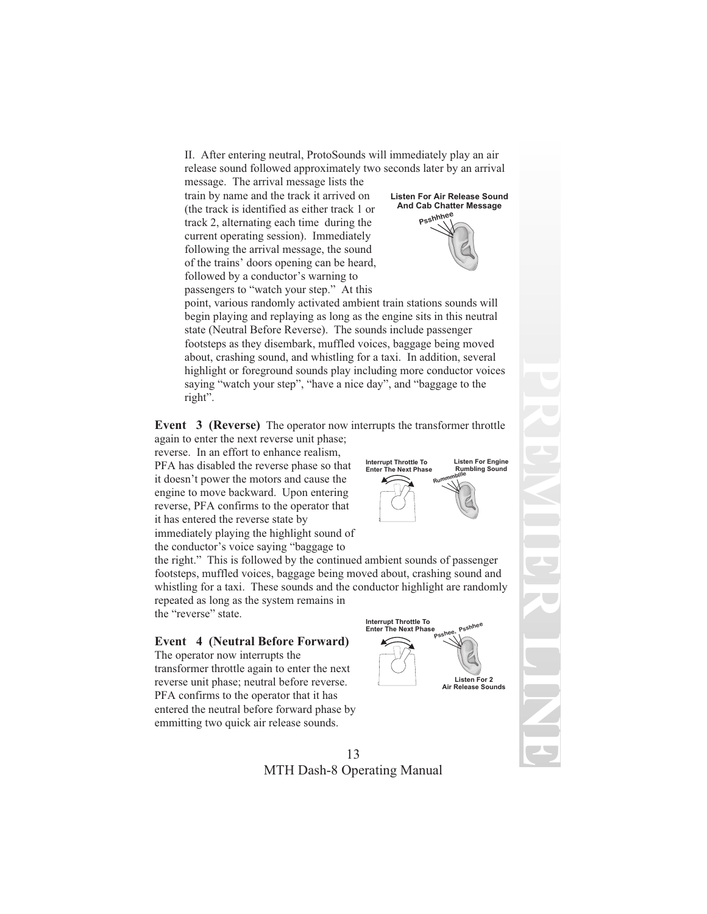II. After entering neutral, ProtoSounds will immediately play an air release sound followed approximately two seconds later by an arrival

message. The arrival message lists the train by name and the track it arrived on (the track is identified as either track 1 or track 2, alternating each time during the current operating session). Immediately following the arrival message, the sound of the trains' doors opening can be heard, followed by a conductor's warning to passengers to "watch your step." At this



point, various randomly activated ambient train stations sounds will begin playing and replaying as long as the engine sits in this neutral state (Neutral Before Reverse). The sounds include passenger footsteps as they disembark, muffled voices, baggage being moved about, crashing sound, and whistling for a taxi. In addition, several highlight or foreground sounds play including more conductor voices saying "watch your step", "have a nice day", and "baggage to the right".

**Event 3 (Reverse)** The operator now interrupts the transformer throttle again to enter the next reverse unit phase;

reverse. In an effort to enhance realism, PFA has disabled the reverse phase so that it doesn't power the motors and cause the engine to move backward. Upon entering reverse, PFA confirms to the operator that it has entered the reverse state by immediately playing the highlight sound of the conductor's voice saying "baggage to

the right." This is followed by the continued ambient sounds of passenger footsteps, muffled voices, baggage being moved about, crashing sound and whistling for a taxi. These sounds and the conductor highlight are randomly

repeated as long as the system remains in the "reverse" state.

#### **Event 4 (Neutral Before Forward)**

The operator now interrupts the transformer throttle again to enter the next reverse unit phase; neutral before reverse. PFA confirms to the operator that it has entered the neutral before forward phase by emmitting two quick air release sounds.





#### 13 MTH Dash-8 Operating Manual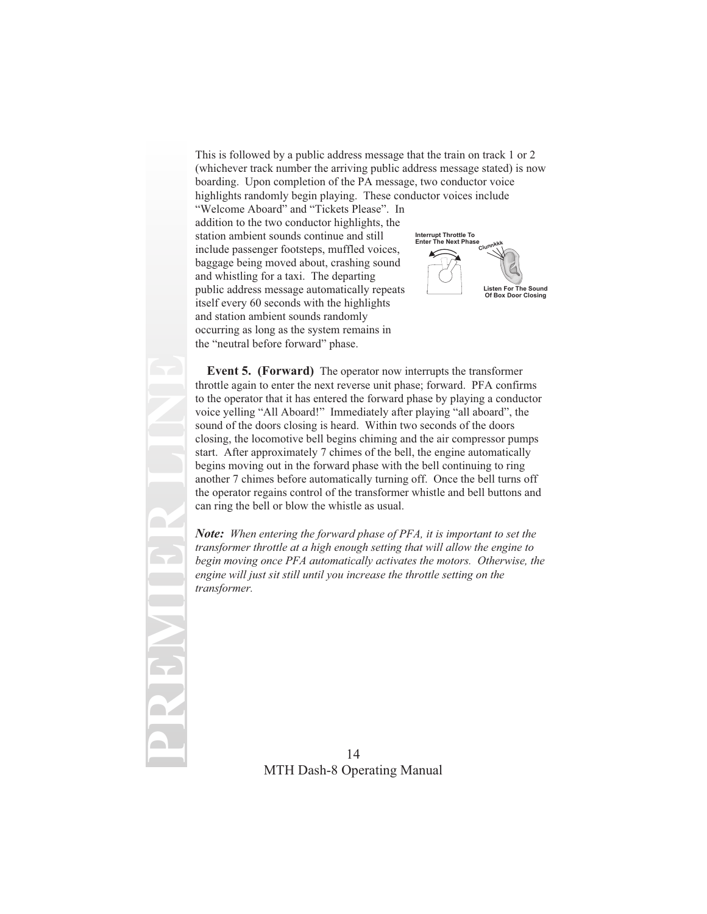This is followed by a public address message that the train on track 1 or 2 (whichever track number the arriving public address message stated) is now boarding. Upon completion of the PA message, two conductor voice highlights randomly begin playing. These conductor voices include "Welcome Aboard" and "Tickets Please". In addition to the two conductor highlights, the station ambient sounds continue and still include passenger footsteps, muffled voices, baggage being moved about, crashing sound **Clunt Interrupt Throttle To Enter The Next Phase**

and whistling for a taxi. The departing public address message automatically repeats itself every 60 seconds with the highlights and station ambient sounds randomly occurring as long as the system remains in the "neutral before forward" phase.

**PREMIER LINE**



**Event 5. (Forward)** The operator now interrupts the transformer throttle again to enter the next reverse unit phase; forward. PFA confirms to the operator that it has entered the forward phase by playing a conductor voice yelling "All Aboard!" Immediately after playing "all aboard", the sound of the doors closing is heard. Within two seconds of the doors closing, the locomotive bell begins chiming and the air compressor pumps start. After approximately 7 chimes of the bell, the engine automatically begins moving out in the forward phase with the bell continuing to ring another 7 chimes before automatically turning off. Once the bell turns off the operator regains control of the transformer whistle and bell buttons and can ring the bell or blow the whistle as usual.

*Note: When entering the forward phase of PFA, it is important to set the transformer throttle at a high enough setting that will allow the engine to begin moving once PFA automatically activates the motors. Otherwise, the engine will just sit still until you increase the throttle setting on the transformer.*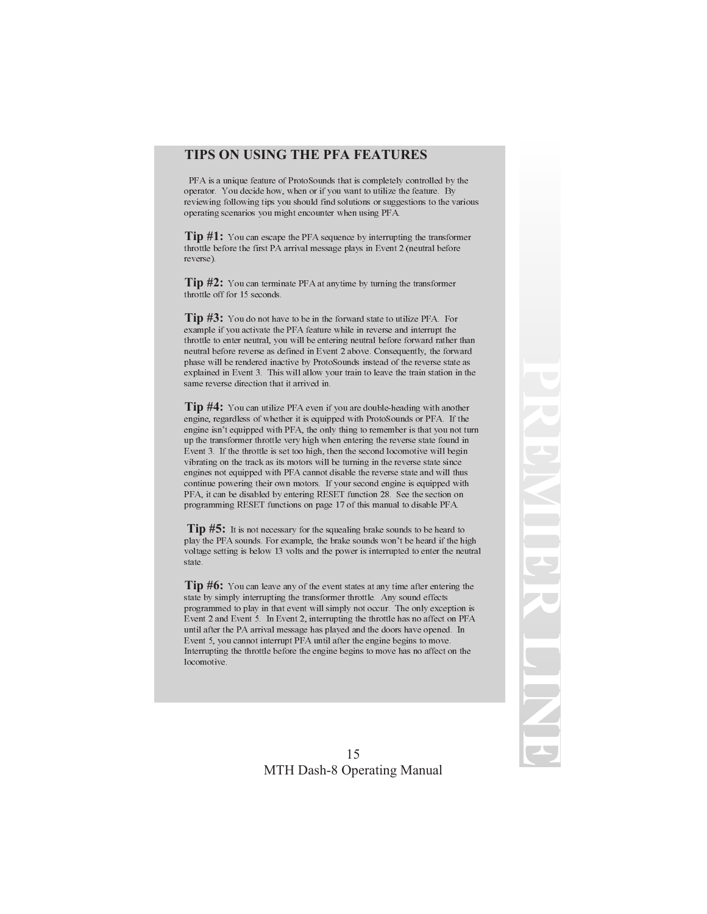#### **TIPS ON USING THE PFA FEATURES**

PFA is a unique feature of ProtoSounds that is completely controlled by the operator. You decide how, when or if you want to utilize the feature. By reviewing following tips you should find solutions or suggestions to the various operating scenarios you might encounter when using PFA.

**Tip #1:** You can escape the PFA sequence by interrupting the transformer throttle before the first PA arrival message plays in Event 2 (neutral before reverse).

**Tip #2:** You can terminate PFA at anytime by turning the transformer throttle off for 15 seconds.

**Tip #3:** You do not have to be in the forward state to utilize PFA. For example if you activate the PFA feature while in reverse and interrupt the throttle to enter neutral, you will be entering neutral before forward rather than neutral before reverse as defined in Event 2 above. Consequently, the forward phase will be rendered inactive by ProtoSounds instead of the reverse state as explained in Event 3. This will allow your train to leave the train station in the same reverse direction that it arrived in.

**Tip #4:** You can utilize PFA even if you are double-heading with another engine, regardless of whether it is equipped with ProtoSounds or PFA. If the engine isn't equipped with PFA, the only thing to remember is that you not turn up the transformer throttle very high when entering the reverse state found in Event 3. If the throttle is set too high, then the second locomotive will begin vibrating on the track as its motors will be turning in the reverse state since engines not equipped with PFA cannot disable the reverse state and will thus continue powering their own motors. If your second engine is equipped with PFA, it can be disabled by entering RESET function 28. See the section on programming RESET functions on page 17 of this manual to disable PFA.

**Tip #5:** It is not necessary for the squealing brake sounds to be heard to play the PFA sounds. For example, the brake sounds won't be heard if the high voltage setting is below 13 volts and the power is interrupted to enter the neutral state.

**Tip #6:** You can leave any of the event states at any time after entering the state by simply interrupting the transformer throttle. Any sound effects programmed to play in that event will simply not occur. The only exception is Event 2 and Event 5. In Event 2, interrupting the throttle has no affect on PFA until after the PA arrival message has played and the doors have opened. In Event 5, you cannot interrupt PFA until after the engine begins to move. Interrupting the throttle before the engine begins to move has no affect on the locomotive.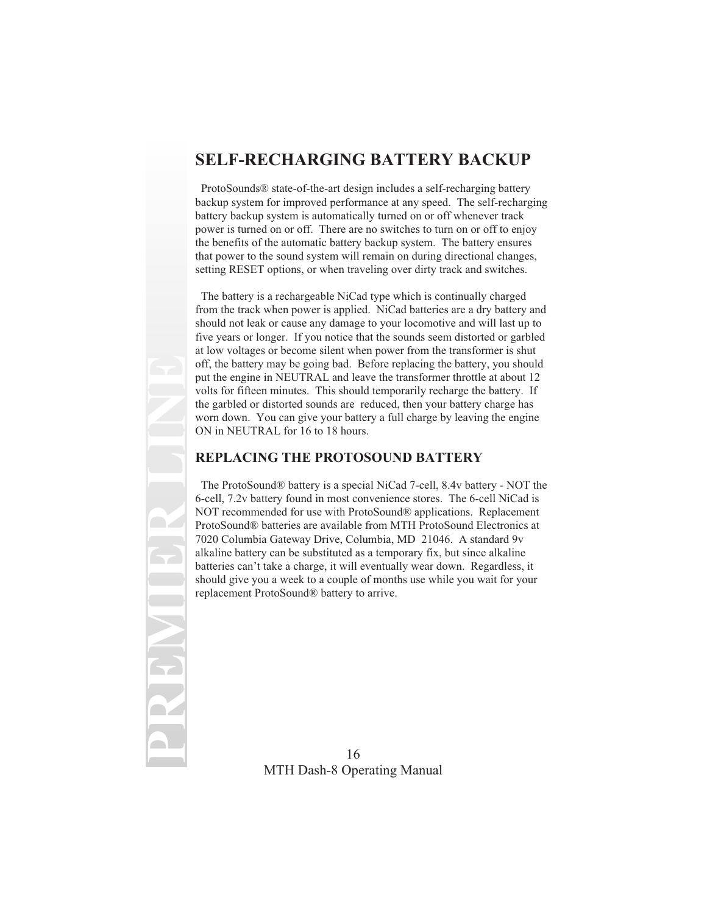## **SELF-RECHARGING BATTERY BACKUP**

ProtoSounds® state-of-the-art design includes a self-recharging battery backup system for improved performance at any speed. The self-recharging battery backup system is automatically turned on or off whenever track power is turned on or off. There are no switches to turn on or off to enjoy the benefits of the automatic battery backup system. The battery ensures that power to the sound system will remain on during directional changes, setting RESET options, or when traveling over dirty track and switches.

The battery is a rechargeable NiCad type which is continually charged from the track when power is applied. NiCad batteries are a dry battery and should not leak or cause any damage to your locomotive and will last up to five years or longer. If you notice that the sounds seem distorted or garbled at low voltages or become silent when power from the transformer is shut off, the battery may be going bad. Before replacing the battery, you should put the engine in NEUTRAL and leave the transformer throttle at about 12 volts for fifteen minutes. This should temporarily recharge the battery. If the garbled or distorted sounds are reduced, then your battery charge has worn down. You can give your battery a full charge by leaving the engine ON in NEUTRAL for 16 to 18 hours.

### **REPLACING THE PROTOSOUND BATTERY**

The ProtoSound® battery is a special NiCad 7-cell, 8.4v battery - NOT the 6-cell, 7.2v battery found in most convenience stores. The 6-cell NiCad is NOT recommended for use with ProtoSound® applications. Replacement ProtoSound® batteries are available from MTH ProtoSound Electronics at 7020 Columbia Gateway Drive, Columbia, MD 21046. A standard 9v alkaline battery can be substituted as a temporary fix, but since alkaline batteries can't take a charge, it will eventually wear down. Regardless, it should give you a week to a couple of months use while you wait for your replacement ProtoSound® battery to arrive.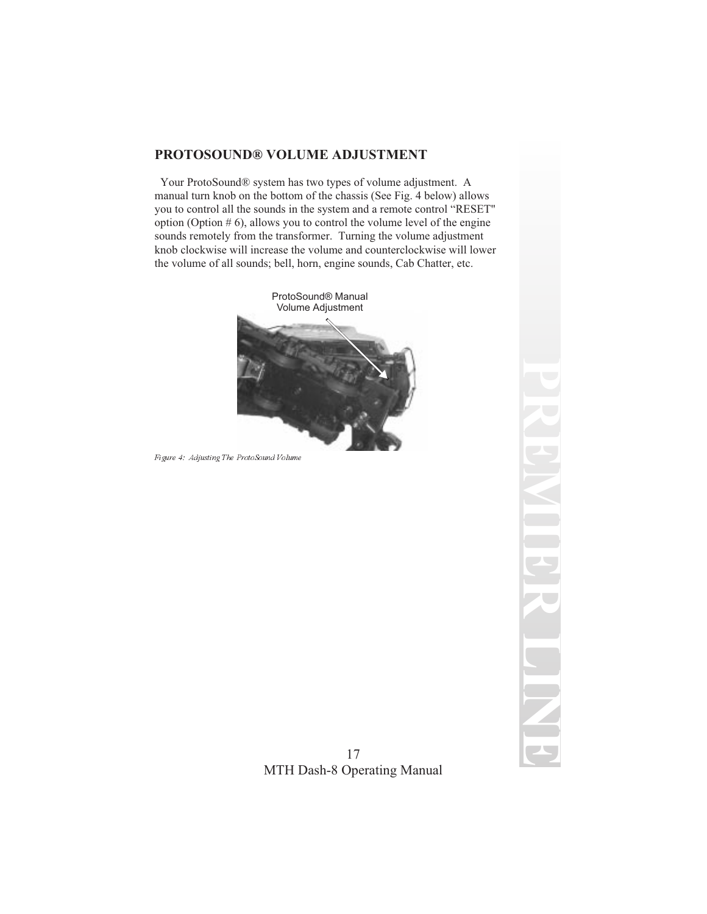### **PROTOSOUND® VOLUME ADJUSTMENT**

Your ProtoSound® system has two types of volume adjustment. A manual turn knob on the bottom of the chassis (See Fig. 4 below) allows you to control all the sounds in the system and a remote control "RESET" option (Option  $# 6$ ), allows you to control the volume level of the engine sounds remotely from the transformer. Turning the volume adjustment knob clockwise will increase the volume and counterclockwise will lower the volume of all sounds; bell, horn, engine sounds, Cab Chatter, etc.



Figure 4: Adjusting The ProtoSound Volume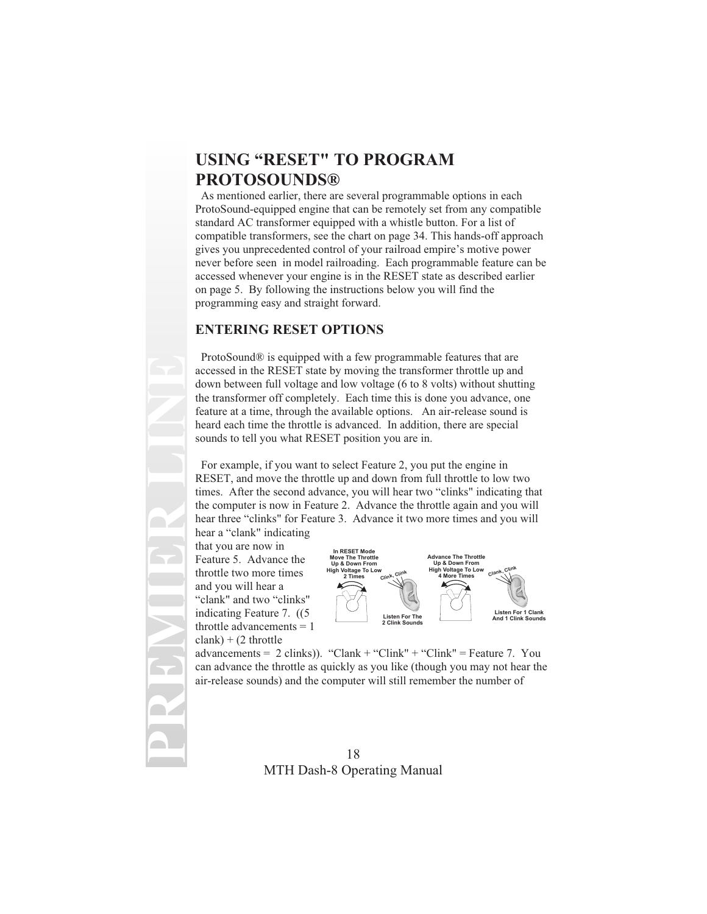# **USING "RESET" TO PROGRAM PROTOSOUNDS®**

As mentioned earlier, there are several programmable options in each ProtoSound-equipped engine that can be remotely set from any compatible standard AC transformer equipped with a whistle button. For a list of compatible transformers, see the chart on page 34. This hands-off approach gives you unprecedented control of your railroad empire's motive power never before seen in model railroading. Each programmable feature can be accessed whenever your engine is in the RESET state as described earlier on page 5. By following the instructions below you will find the programming easy and straight forward.

#### **ENTERING RESET OPTIONS**

ProtoSound® is equipped with a few programmable features that are accessed in the RESET state by moving the transformer throttle up and down between full voltage and low voltage (6 to 8 volts) without shutting the transformer off completely. Each time this is done you advance, one feature at a time, through the available options. An air-release sound is heard each time the throttle is advanced. In addition, there are special sounds to tell you what RESET position you are in.

For example, if you want to select Feature 2, you put the engine in RESET, and move the throttle up and down from full throttle to low two times. After the second advance, you will hear two "clinks" indicating that the computer is now in Feature 2. Advance the throttle again and you will hear three "clinks" for Feature 3. Advance it two more times and you will

hear a "clank" indicating that you are now in Feature 5. Advance the throttle two more times and you will hear a "clank" and two "clinks" indicating Feature 7. ((5 throttle advancements = 1  $clank) + (2 throttle)$ 

**PREMIER LINE**



advancements =  $2 \text{ clinks}$ ). "Clank + "Clink" + "Clink" = Feature 7. You can advance the throttle as quickly as you like (though you may not hear the air-release sounds) and the computer will still remember the number of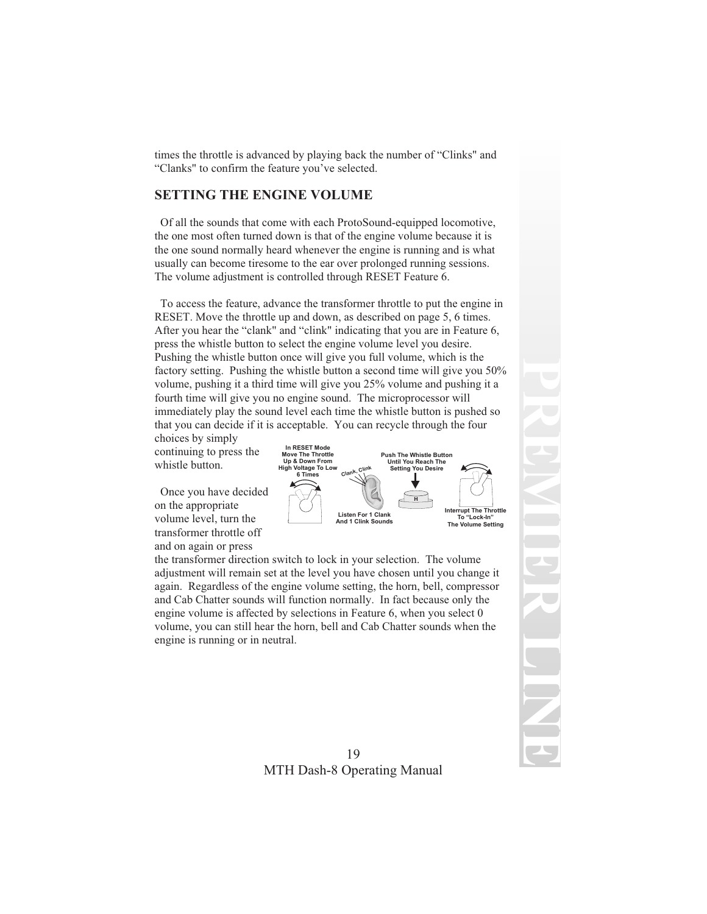times the throttle is advanced by playing back the number of "Clinks" and "Clanks" to confirm the feature you've selected.

### **SETTING THE ENGINE VOLUME**

Of all the sounds that come with each ProtoSound-equipped locomotive, the one most often turned down is that of the engine volume because it is the one sound normally heard whenever the engine is running and is what usually can become tiresome to the ear over prolonged running sessions. The volume adjustment is controlled through RESET Feature 6.

To access the feature, advance the transformer throttle to put the engine in RESET. Move the throttle up and down, as described on page 5, 6 times. After you hear the "clank" and "clink" indicating that you are in Feature 6, press the whistle button to select the engine volume level you desire. Pushing the whistle button once will give you full volume, which is the factory setting. Pushing the whistle button a second time will give you 50% volume, pushing it a third time will give you 25% volume and pushing it a fourth time will give you no engine sound. The microprocessor will immediately play the sound level each time the whistle button is pushed so that you can decide if it is acceptable. You can recycle through the four

choices by simply continuing to press the whistle button.

Once you have decided on the appropriate volume level, turn the transformer throttle off and on again or press



the transformer direction switch to lock in your selection. The volume adjustment will remain set at the level you have chosen until you change it again. Regardless of the engine volume setting, the horn, bell, compressor and Cab Chatter sounds will function normally. In fact because only the engine volume is affected by selections in Feature 6, when you select 0 volume, you can still hear the horn, bell and Cab Chatter sounds when the engine is running or in neutral.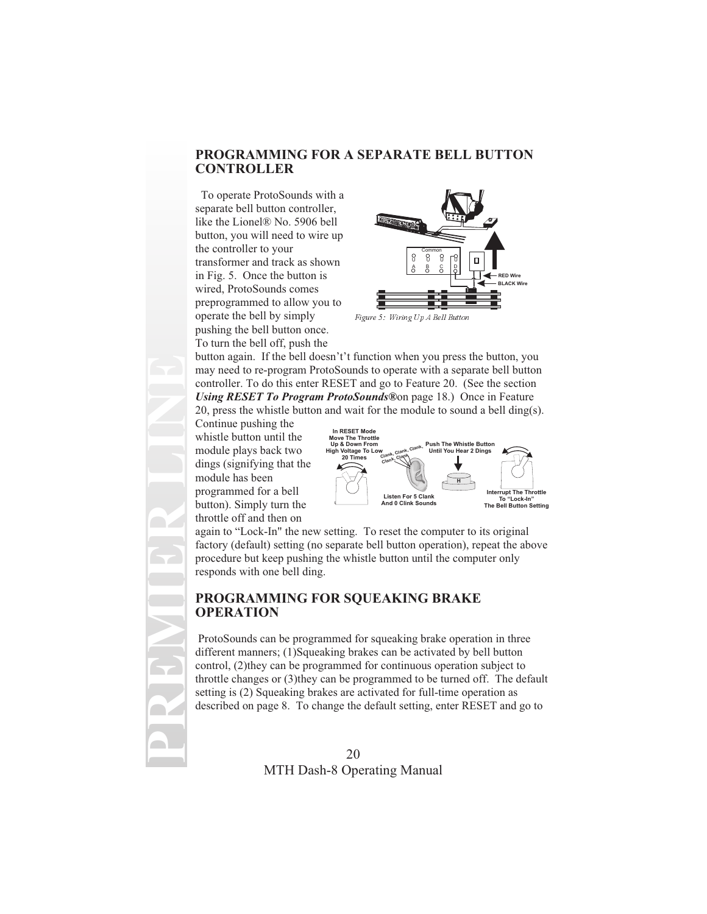#### **PROGRAMMING FOR A SEPARATE BELL BUTTON CONTROLLER**

To operate ProtoSounds with a separate bell button controller, like the Lionel® No. 5906 bell button, you will need to wire up the controller to your transformer and track as shown in Fig. 5. Once the button is wired, ProtoSounds comes preprogrammed to allow you to operate the bell by simply pushing the bell button once. To turn the bell off, push the



Figure 5: Wiring Up A Bell Button

button again. If the bell doesn't't function when you press the button, you may need to re-program ProtoSounds to operate with a separate bell button controller. To do this enter RESET and go to Feature 20. (See the section *Using RESET To Program ProtoSounds®*on page 18.) Once in Feature 20, press the whistle button and wait for the module to sound a bell ding(s).

Continue pushing the whistle button until the module plays back two dings (signifying that the module has been programmed for a bell button). Simply turn the throttle off and then on

**PREMIER LINE**



again to "Lock-In" the new setting. To reset the computer to its original factory (default) setting (no separate bell button operation), repeat the above procedure but keep pushing the whistle button until the computer only responds with one bell ding.

### **PROGRAMMING FOR SQUEAKING BRAKE OPERATION**

ProtoSounds can be programmed for squeaking brake operation in three different manners; (1)Squeaking brakes can be activated by bell button control, (2)they can be programmed for continuous operation subject to throttle changes or (3)they can be programmed to be turned off. The default setting is (2) Squeaking brakes are activated for full-time operation as described on page 8. To change the default setting, enter RESET and go to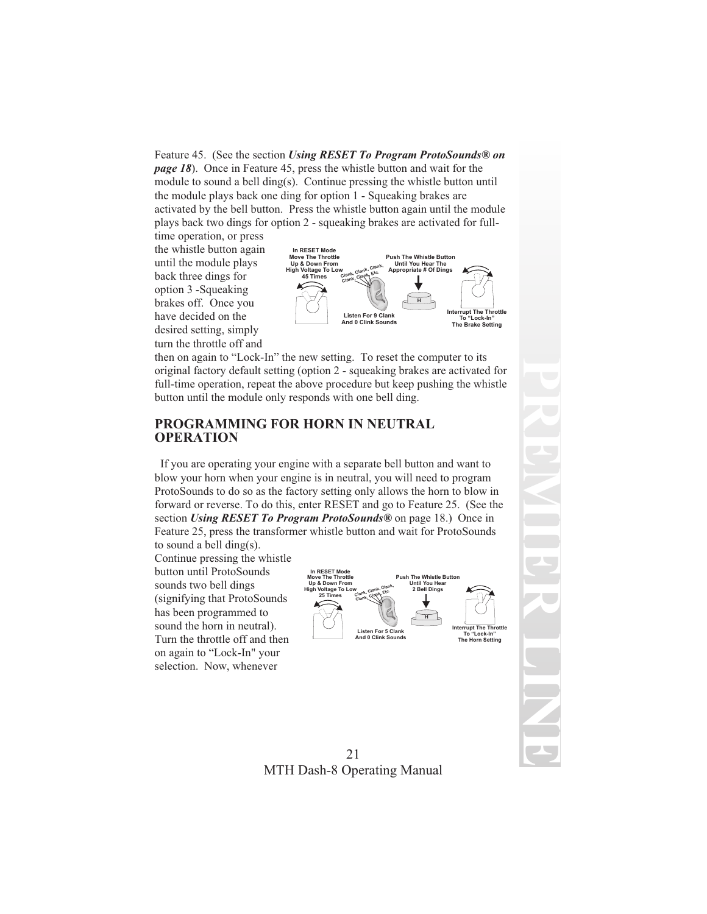Feature 45. (See the section *Using RESET To Program ProtoSounds® on page 18*). Once in Feature 45, press the whistle button and wait for the module to sound a bell ding(s). Continue pressing the whistle button until the module plays back one ding for option 1 - Squeaking brakes are activated by the bell button. Press the whistle button again until the module plays back two dings for option 2 - squeaking brakes are activated for full-

time operation, or press the whistle button again until the module plays back three dings for option 3 -Squeaking brakes off. Once you have decided on the desired setting, simply turn the throttle off and



then on again to "Lock-In" the new setting. To reset the computer to its original factory default setting (option 2 - squeaking brakes are activated for full-time operation, repeat the above procedure but keep pushing the whistle button until the module only responds with one bell ding.

#### **PROGRAMMING FOR HORN IN NEUTRAL OPERATION**

If you are operating your engine with a separate bell button and want to blow your horn when your engine is in neutral, you will need to program ProtoSounds to do so as the factory setting only allows the horn to blow in forward or reverse. To do this, enter RESET and go to Feature 25. (See the section *Using RESET To Program ProtoSounds®* on page 18.) Once in Feature 25, press the transformer whistle button and wait for ProtoSounds to sound a bell ding(s).

Continue pressing the whistle button until ProtoSounds sounds two bell dings (signifying that ProtoSounds has been programmed to sound the horn in neutral). Turn the throttle off and then on again to "Lock-In" your selection. Now, whenever



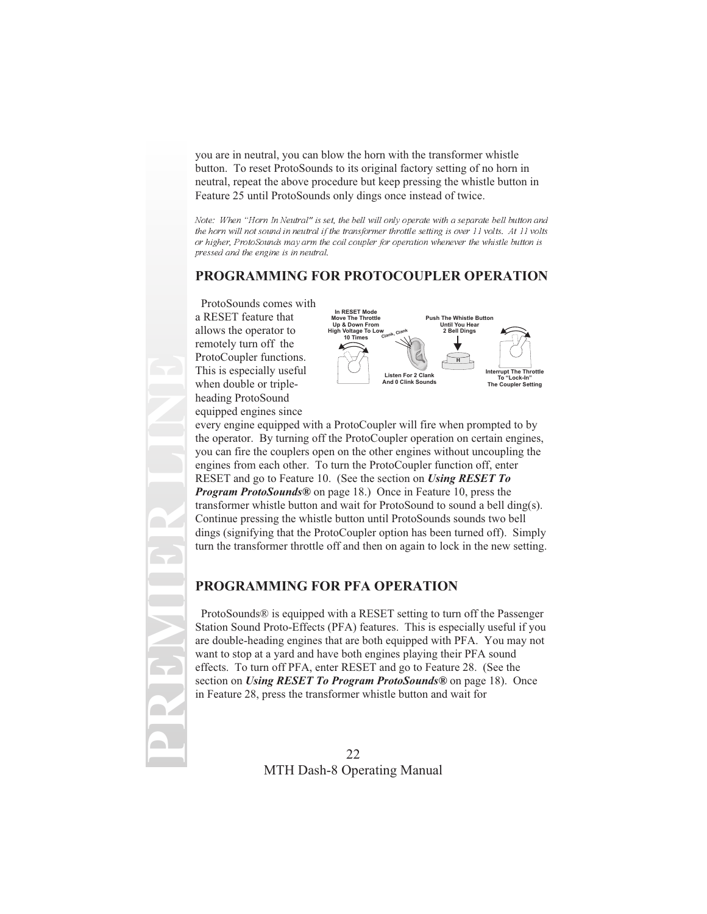you are in neutral, you can blow the horn with the transformer whistle button. To reset ProtoSounds to its original factory setting of no horn in neutral, repeat the above procedure but keep pressing the whistle button in Feature 25 until ProtoSounds only dings once instead of twice.

Note: When "Horn In Neutral" is set, the bell will only operate with a separate bell button and the horn will not sound in neutral if the transformer throttle setting is over 11 volts. At 11 volts or higher, ProtoSounds may arm the coil coupler for operation whenever the whistle button is pressed and the engine is in neutral.

## **PROGRAMMING FOR PROTOCOUPLER OPERATION**

ProtoSounds comes with a RESET feature that allows the operator to remotely turn off the ProtoCoupler functions. This is especially useful when double or tripleheading ProtoSound equipped engines since

**PREMIER LINE**



every engine equipped with a ProtoCoupler will fire when prompted to by the operator. By turning off the ProtoCoupler operation on certain engines, you can fire the couplers open on the other engines without uncoupling the engines from each other. To turn the ProtoCoupler function off, enter RESET and go to Feature 10. (See the section on *Using RESET To Program ProtoSounds®* on page 18.) Once in Feature 10, press the transformer whistle button and wait for ProtoSound to sound a bell ding(s). Continue pressing the whistle button until ProtoSounds sounds two bell dings (signifying that the ProtoCoupler option has been turned off). Simply turn the transformer throttle off and then on again to lock in the new setting.

#### **PROGRAMMING FOR PFA OPERATION**

ProtoSounds® is equipped with a RESET setting to turn off the Passenger Station Sound Proto-Effects (PFA) features. This is especially useful if you are double-heading engines that are both equipped with PFA. You may not want to stop at a yard and have both engines playing their PFA sound effects. To turn off PFA, enter RESET and go to Feature 28. (See the section on *Using RESET To Program ProtoSounds®* on page 18). Once in Feature 28, press the transformer whistle button and wait for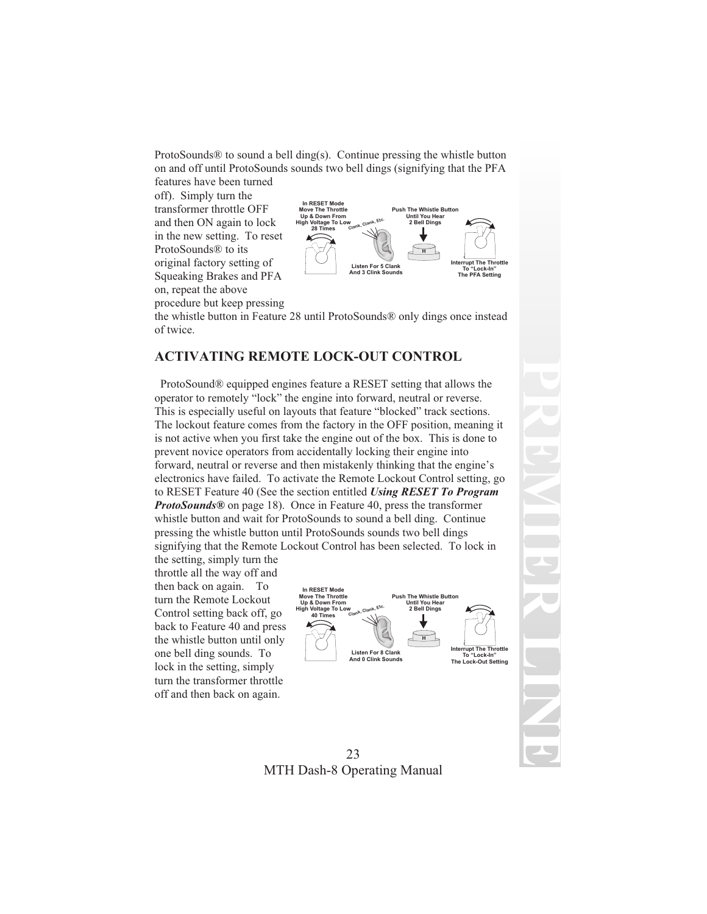ProtoSounds® to sound a bell ding(s). Continue pressing the whistle button on and off until ProtoSounds sounds two bell dings (signifying that the PFA

features have been turned off). Simply turn the transformer throttle OFF and then ON again to lock in the new setting. To reset ProtoSounds® to its original factory setting of Squeaking Brakes and PFA on, repeat the above procedure but keep pressing



the whistle button in Feature 28 until ProtoSounds® only dings once instead of twice.

### **ACTIVATING REMOTE LOCK-OUT CONTROL**

ProtoSound® equipped engines feature a RESET setting that allows the operator to remotely "lock" the engine into forward, neutral or reverse. This is especially useful on layouts that feature "blocked" track sections. The lockout feature comes from the factory in the OFF position, meaning it is not active when you first take the engine out of the box. This is done to prevent novice operators from accidentally locking their engine into forward, neutral or reverse and then mistakenly thinking that the engine's electronics have failed. To activate the Remote Lockout Control setting, go to RESET Feature 40 (See the section entitled *Using RESET To Program ProtoSounds®* on page 18). Once in Feature 40, press the transformer whistle button and wait for ProtoSounds to sound a bell ding. Continue pressing the whistle button until ProtoSounds sounds two bell dings signifying that the Remote Lockout Control has been selected. To lock in

the setting, simply turn the throttle all the way off and then back on again. To turn the Remote Lockout Control setting back off, go back to Feature 40 and press the whistle button until only one bell ding sounds. To lock in the setting, simply turn the transformer throttle off and then back on again.



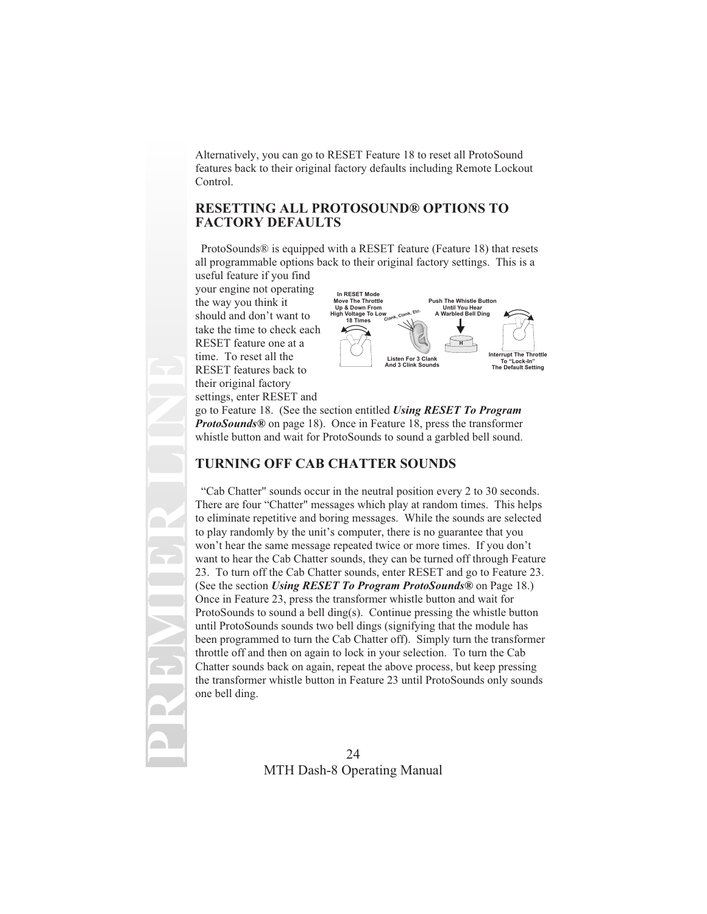Alternatively, you can go to RESET Feature 18 to reset all ProtoSound features back to their original factory defaults including Remote Lockout Control.

#### **RESETTING ALL PROTOSOUND® OPTIONS TO FACTORY DEFAULTS**

ProtoSounds® is equipped with a RESET feature (Feature 18) that resets all programmable options back to their original factory settings. This is a

useful feature if you find your engine not operating the way you think it should and don't want to take the time to check each RESET feature one at a time. To reset all the RESET features back to their original factory settings, enter RESET and

**PREMIER LINE**



go to Feature 18. (See the section entitled *Using RESET To Program ProtoSounds®* on page 18). Once in Feature 18, press the transformer whistle button and wait for ProtoSounds to sound a garbled bell sound.

#### **TURNING OFF CAB CHATTER SOUNDS**

"Cab Chatter" sounds occur in the neutral position every 2 to 30 seconds. There are four "Chatter" messages which play at random times. This helps to eliminate repetitive and boring messages. While the sounds are selected to play randomly by the unit's computer, there is no guarantee that you won't hear the same message repeated twice or more times. If you don't want to hear the Cab Chatter sounds, they can be turned off through Feature 23. To turn off the Cab Chatter sounds, enter RESET and go to Feature 23. (See the section *Using RESET To Program ProtoSounds®* on Page 18.) Once in Feature 23, press the transformer whistle button and wait for ProtoSounds to sound a bell ding(s). Continue pressing the whistle button until ProtoSounds sounds two bell dings (signifying that the module has been programmed to turn the Cab Chatter off). Simply turn the transformer throttle off and then on again to lock in your selection. To turn the Cab Chatter sounds back on again, repeat the above process, but keep pressing the transformer whistle button in Feature 23 until ProtoSounds only sounds one bell ding.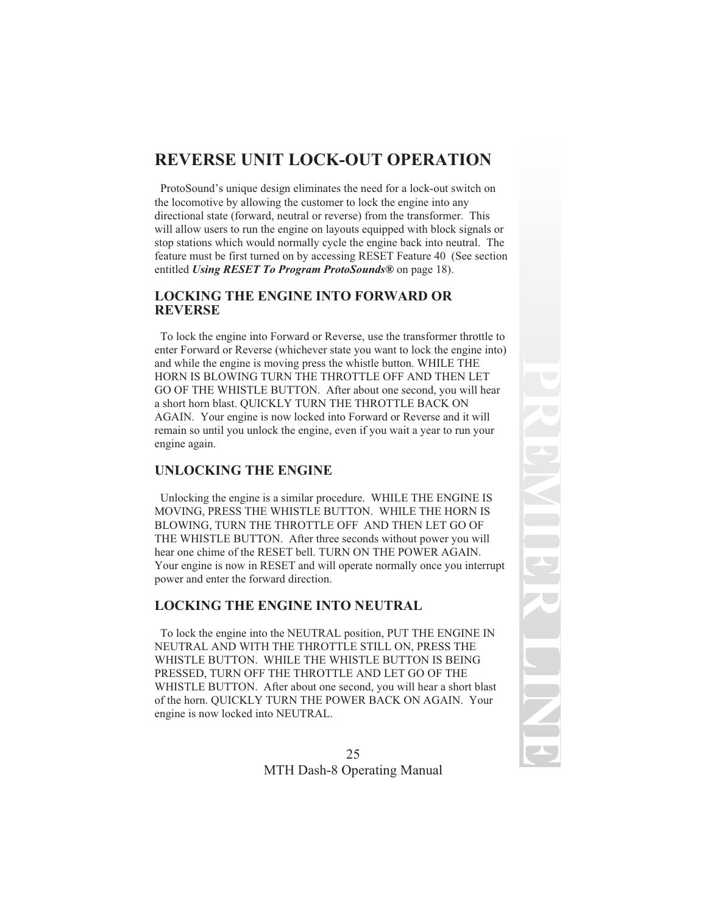# **REVERSE UNIT LOCK-OUT OPERATION**

ProtoSound's unique design eliminates the need for a lock-out switch on the locomotive by allowing the customer to lock the engine into any directional state (forward, neutral or reverse) from the transformer. This will allow users to run the engine on layouts equipped with block signals or stop stations which would normally cycle the engine back into neutral. The feature must be first turned on by accessing RESET Feature 40 (See section entitled *Using RESET To Program ProtoSounds®* on page 18).

#### **LOCKING THE ENGINE INTO FORWARD OR REVERSE**

To lock the engine into Forward or Reverse, use the transformer throttle to enter Forward or Reverse (whichever state you want to lock the engine into) and while the engine is moving press the whistle button. WHILE THE HORN IS BLOWING TURN THE THROTTLE OFF AND THEN LET GO OF THE WHISTLE BUTTON. After about one second, you will hear a short horn blast. QUICKLY TURN THE THROTTLE BACK ON AGAIN. Your engine is now locked into Forward or Reverse and it will remain so until you unlock the engine, even if you wait a year to run your engine again.

#### **UNLOCKING THE ENGINE**

Unlocking the engine is a similar procedure. WHILE THE ENGINE IS MOVING, PRESS THE WHISTLE BUTTON. WHILE THE HORN IS BLOWING, TURN THE THROTTLE OFF AND THEN LET GO OF THE WHISTLE BUTTON. After three seconds without power you will hear one chime of the RESET bell. TURN ON THE POWER AGAIN. Your engine is now in RESET and will operate normally once you interrupt power and enter the forward direction.

#### **LOCKING THE ENGINE INTO NEUTRAL**

To lock the engine into the NEUTRAL position, PUT THE ENGINE IN NEUTRAL AND WITH THE THROTTLE STILL ON, PRESS THE WHISTLE BUTTON. WHILE THE WHISTLE BUTTON IS BEING PRESSED, TURN OFF THE THROTTLE AND LET GO OF THE WHISTLE BUTTON. After about one second, you will hear a short blast of the horn. QUICKLY TURN THE POWER BACK ON AGAIN. Your engine is now locked into NEUTRAL.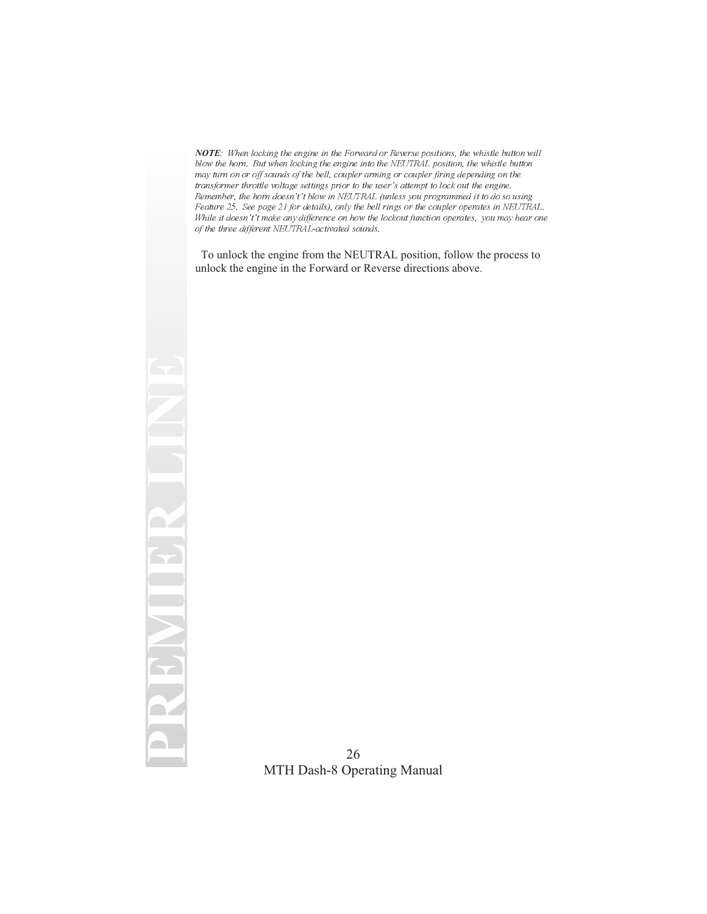*NOTE*: When locking the engine in the Forward or Reverse positions, the whistle button will blow the horn. But when locking the engine into the NEUTRAL position, the whistle button may turn on or off sounds of the bell, coupler arming or coupler firing depending on the transformer throttle voltage settings prior to the user's attempt to lock out the engine. Remember, the horn doesn't't blow in NEUTRAL (unless you programmed it to do so using Feature 25. See page 21 for details), only the bell rings or the coupler operates in NEUTRAL. While it doesn't't make any difference on how the lockout function operates, you may hear one of the three different NEUTRAL-activated sounds.

To unlock the engine from the NEUTRAL position, follow the process to unlock the engine in the Forward or Reverse directions above.

**PREMIER LINE**

ECC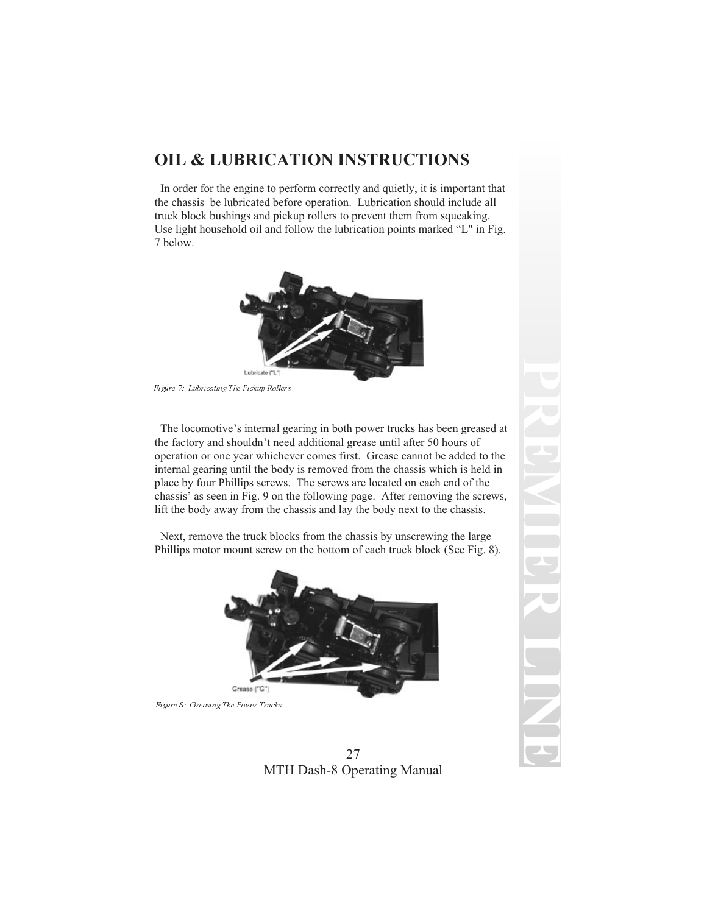# **OIL & LUBRICATION INSTRUCTIONS**

In order for the engine to perform correctly and quietly, it is important that the chassis be lubricated before operation. Lubrication should include all truck block bushings and pickup rollers to prevent them from squeaking. Use light household oil and follow the lubrication points marked "L" in Fig. 7 below.



Figure 7: Lubricating The Pickup Rollers

The locomotive's internal gearing in both power trucks has been greased at the factory and shouldn't need additional grease until after 50 hours of operation or one year whichever comes first. Grease cannot be added to the internal gearing until the body is removed from the chassis which is held in place by four Phillips screws. The screws are located on each end of the chassis' as seen in Fig. 9 on the following page. After removing the screws, lift the body away from the chassis and lay the body next to the chassis.

Next, remove the truck blocks from the chassis by unscrewing the large Phillips motor mount screw on the bottom of each truck block (See Fig. 8).



Figure 8: Greasing The Power Trucks

27 MTH Dash-8 Operating Manual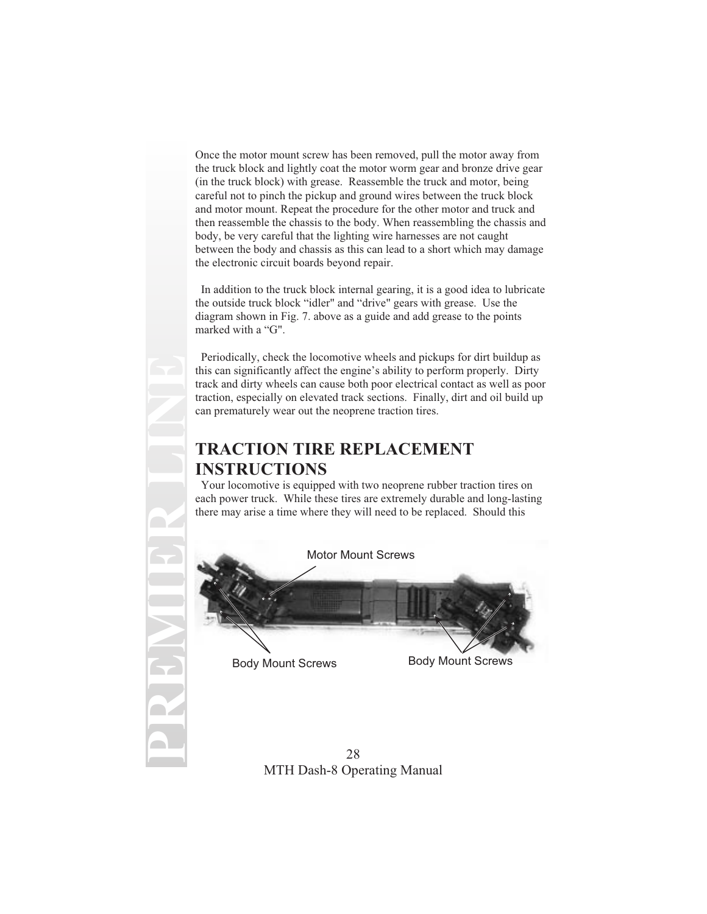Once the motor mount screw has been removed, pull the motor away from the truck block and lightly coat the motor worm gear and bronze drive gear (in the truck block) with grease. Reassemble the truck and motor, being careful not to pinch the pickup and ground wires between the truck block and motor mount. Repeat the procedure for the other motor and truck and then reassemble the chassis to the body. When reassembling the chassis and body, be very careful that the lighting wire harnesses are not caught between the body and chassis as this can lead to a short which may damage the electronic circuit boards beyond repair.

In addition to the truck block internal gearing, it is a good idea to lubricate the outside truck block "idler" and "drive" gears with grease. Use the diagram shown in Fig. 7. above as a guide and add grease to the points marked with a "G".

Periodically, check the locomotive wheels and pickups for dirt buildup as this can significantly affect the engine's ability to perform properly. Dirty track and dirty wheels can cause both poor electrical contact as well as poor traction, especially on elevated track sections. Finally, dirt and oil build up can prematurely wear out the neoprene traction tires.

## **TRACTION TIRE REPLACEMENT INSTRUCTIONS**

Your locomotive is equipped with two neoprene rubber traction tires on each power truck. While these tires are extremely durable and long-lasting there may arise a time where they will need to be replaced. Should this

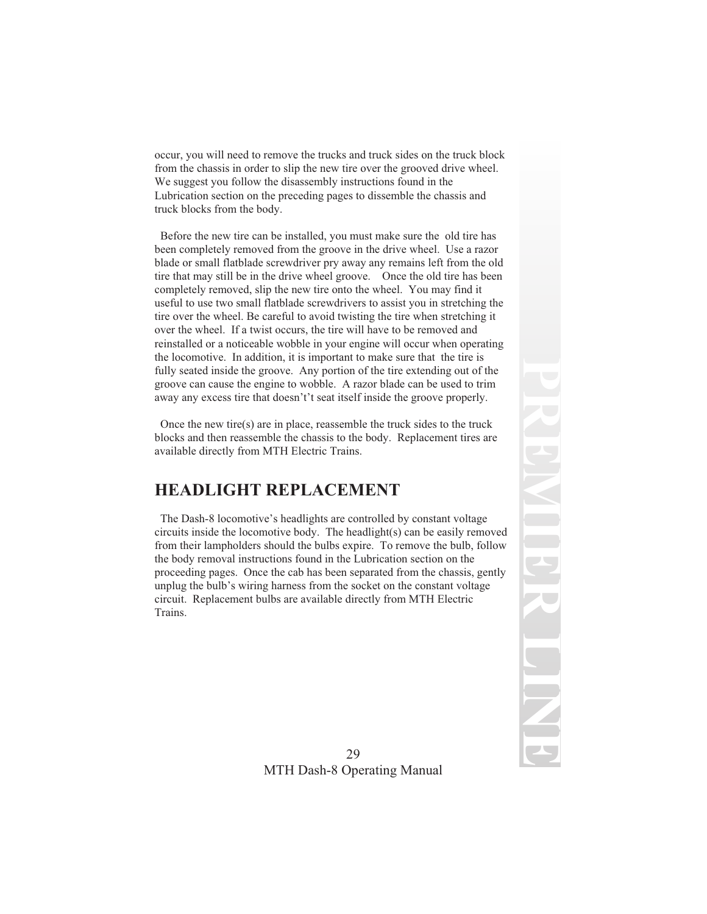occur, you will need to remove the trucks and truck sides on the truck block from the chassis in order to slip the new tire over the grooved drive wheel. We suggest you follow the disassembly instructions found in the Lubrication section on the preceding pages to dissemble the chassis and truck blocks from the body.

Before the new tire can be installed, you must make sure the old tire has been completely removed from the groove in the drive wheel. Use a razor blade or small flatblade screwdriver pry away any remains left from the old tire that may still be in the drive wheel groove. Once the old tire has been completely removed, slip the new tire onto the wheel. You may find it useful to use two small flatblade screwdrivers to assist you in stretching the tire over the wheel. Be careful to avoid twisting the tire when stretching it over the wheel. If a twist occurs, the tire will have to be removed and reinstalled or a noticeable wobble in your engine will occur when operating the locomotive. In addition, it is important to make sure that the tire is fully seated inside the groove. Any portion of the tire extending out of the groove can cause the engine to wobble. A razor blade can be used to trim away any excess tire that doesn't't seat itself inside the groove properly.

Once the new tire(s) are in place, reassemble the truck sides to the truck blocks and then reassemble the chassis to the body. Replacement tires are available directly from MTH Electric Trains.

## **HEADLIGHT REPLACEMENT**

The Dash-8 locomotive's headlights are controlled by constant voltage circuits inside the locomotive body. The headlight(s) can be easily removed from their lampholders should the bulbs expire. To remove the bulb, follow the body removal instructions found in the Lubrication section on the proceeding pages. Once the cab has been separated from the chassis, gently unplug the bulb's wiring harness from the socket on the constant voltage circuit. Replacement bulbs are available directly from MTH Electric Trains.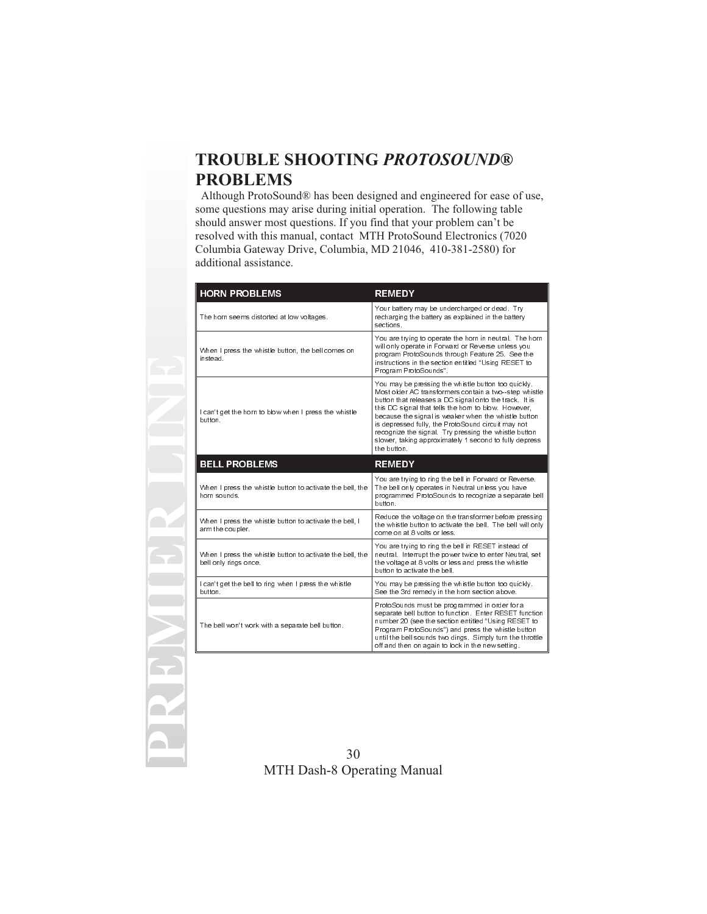# **TROUBLE SHOOTING** *PROTOSOUND***® PROBLEMS**

Although ProtoSound® has been designed and engineered for ease of use, some questions may arise during initial operation. The following table should answer most questions. If you find that your problem can't be resolved with this manual, contact MTH ProtoSound Electronics (7020 Columbia Gateway Drive, Columbia, MD 21046, 410-381-2580) for additional assistance.

| <b>HORN PROBLEMS</b>                                                               | <b>REMEDY</b>                                                                                                                                                                                                                                                                                                                                                                                                                                                                 |
|------------------------------------------------------------------------------------|-------------------------------------------------------------------------------------------------------------------------------------------------------------------------------------------------------------------------------------------------------------------------------------------------------------------------------------------------------------------------------------------------------------------------------------------------------------------------------|
| The horn seems distorted at low voltages.                                          | Your battery may be undercharged or dead. Try<br>recharging the battery as explained in the battery<br>sections                                                                                                                                                                                                                                                                                                                                                               |
| When I press the whistle button, the bell comes on<br>instead                      | You are trying to operate the horn in neutral. The horn<br>will only operate in Forward or Reverse unless you<br>program ProtoSounds through Feature 25. See the<br>instructions in the section entitled "Using RESET to<br>Program ProtoSounds".                                                                                                                                                                                                                             |
| I can't get the horn to blow when I press the whistle<br>button                    | You may be pressing the whistle button too quickly.<br>Most older AC transformers contain a two-step whistle<br>button that releases a DC signal onto the track. It is<br>this DC signal that tells the horn to blow. However,<br>because the signal is weaker when the whistle button<br>is depressed fully, the ProtoSound circuit may not<br>recognize the signal. Try pressing the whistle button<br>slower, taking approximately 1 second to fully depress<br>the button |
| <b>BELL PROBLEMS</b>                                                               | <b>REMEDY</b>                                                                                                                                                                                                                                                                                                                                                                                                                                                                 |
| When I press the whistle button to activate the bell, the<br>horn sounds           | You are trying to ring the bell in Forward or Reverse.<br>The bell only operates in Neutral unless you have<br>programmed ProtoSounds to recognize a separate bell<br>button                                                                                                                                                                                                                                                                                                  |
| When I press the whistle button to activate the bell, I<br>arm the coupler.        | Reduce the voltage on the transformer before pressing<br>the whistle button to activate the bell. The bell will only<br>come on at 8 volts or less.                                                                                                                                                                                                                                                                                                                           |
| When I press the whistle button to activate the bell, the<br>bell only rings once. | You are trying to ring the bell in RESET instead of<br>neutral. Interrupt the power twice to enter Neutral, set<br>the voltage at 8 volts or less and press the whistle<br>button to activate the bell                                                                                                                                                                                                                                                                        |
| I can't get the bell to ring when I press the whistle<br>button                    | You may be pressing the whistle button too quickly.<br>See the 3rd remedy in the horn section above.                                                                                                                                                                                                                                                                                                                                                                          |
| The bell won't work with a separate bell button.                                   | ProtoSounds must be programmed in order for a<br>separate bell button to function. Enter RESET function<br>number 20 (see the section entitled "Using RESET to<br>Program ProtoSounds") and press the whistle button<br>until the bell sounds two dings. Simply turn the throttle<br>off and then on again to lock in the new setting.                                                                                                                                        |

**PREMIER LINE**

**R**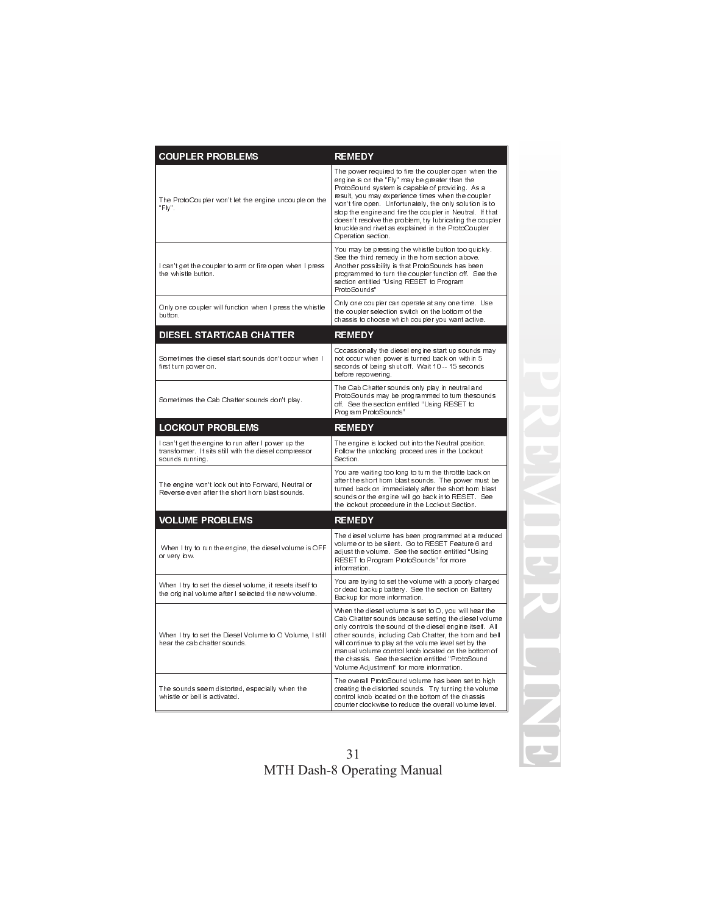| <b>COUPLER PROBLEMS</b>                                                                                                        | <b>REMEDY</b>                                                                                                                                                                                                                                                                                                                                                                                                                                                                |
|--------------------------------------------------------------------------------------------------------------------------------|------------------------------------------------------------------------------------------------------------------------------------------------------------------------------------------------------------------------------------------------------------------------------------------------------------------------------------------------------------------------------------------------------------------------------------------------------------------------------|
| The ProtoCoupler won't let the engine uncouple on the<br>"Fly".                                                                | The power required to fire the coupler open when the<br>engine is on the "Fly" may be greater than the<br>ProtoSound system is capable of providing. As a<br>result you may experience times when the coupler<br>won't fire open. Unfortunately, the only solution is to<br>stop the engine and fire the coupler in Neutral. If that<br>doesn't resolve the problem, try lubricating the coupler<br>knuckle and rivet as explained in the ProtoCoupler<br>Operation section. |
| I can't get the coupler to arm or fire open when I press<br>the whistle button.                                                | You may be pressing the whistle button too quickly.<br>See the third remedy in the horn section above.<br>Another possibility is that ProtoSounds has been<br>programmed to turn the coupler function off. See the<br>section entitled "Using RESET to Program<br>ProtoSounds"                                                                                                                                                                                               |
| Only one coupler will function when I press the whistle<br>button.                                                             | Only one coupler can operate at any one time. Use<br>the coupler selection switch on the bottom of the<br>chassis to choose which coupler you want active.                                                                                                                                                                                                                                                                                                                   |
| <b>DIESEL START/CAB CHATTER</b>                                                                                                | <b>REMEDY</b>                                                                                                                                                                                                                                                                                                                                                                                                                                                                |
| Sometimes the diesel start sounds don't occur when I<br>first turn power on.                                                   | Occassionally the diesel engine start up sounds may<br>not occur when power is turned back on within 5<br>seconds of being shut off. Wait 10 -- 15 seconds<br>before repowering.                                                                                                                                                                                                                                                                                             |
| Sometimes the Cab Chatter sounds don't play.                                                                                   | The Cab Chatter sounds only play in neutral and<br>ProtoSounds may be programmed to turn thesounds<br>off. See the section entitled "Using RESET to<br>Program ProtoSounds"                                                                                                                                                                                                                                                                                                  |
| <b>LOCKOUT PROBLEMS</b>                                                                                                        | <b>REMEDY</b>                                                                                                                                                                                                                                                                                                                                                                                                                                                                |
| I can't get the engine to run after I power up the<br>transformer. It sits still with the diesel compressor<br>sounds running. | The engine is locked out into the Neutral position.<br>Follow the unlocking proceedures in the Lockout<br>Section.                                                                                                                                                                                                                                                                                                                                                           |
| The engine won't lock out into Forward, Neutral or<br>Reverse even after the short horn blast sounds.                          | You are waiting too long to turn the throttle back on<br>after the short horn blast sounds. The power must be<br>turned back on immediately after the short horn blast<br>sounds or the engine will go back into RESET. See<br>the lockout proceedure in the Lockout Section.                                                                                                                                                                                                |
| <b>VOLUME PROBLEMS</b>                                                                                                         | <b>REMEDY</b>                                                                                                                                                                                                                                                                                                                                                                                                                                                                |
| When I try to run the engine, the diesel volume is OFF<br>or very low.                                                         | The diesel volume has been programmed at a reduced<br>volume or to be silent Go to RESET Feature 6 and<br>adjust the volume. See the section entitled "Using<br>RESET to Program ProtoSounds" for more<br>information.                                                                                                                                                                                                                                                       |
| When I try to set the diesel volume, it resets itself to<br>the original volume after I selected the new volume.               | You are trying to set the volume with a poorly charged<br>or dead backup battery. See the section on Battery<br>Backup for more information.                                                                                                                                                                                                                                                                                                                                 |
| When I try to set the Diesel Volume to O Volume, I still<br>hear the cab chatter sounds.                                       | When the diesel volume is set to O, you will hear the<br>Cab Chatter sounds because setting the diesel volume<br>only controls the sound of the diesel engine itself. All<br>other sounds, including Cab Chatter, the horn and bell<br>will continue to play at the volume level set by the<br>manual volume control knob located on the bottom of<br>the chassis. See the section entitled "ProtoSound<br>Volume Adjustment" for more information.                          |
| The sounds seem distorted, especially when the<br>whistle or bell is activated.                                                | The overall ProtoSound volume has been set to high<br>creating the distorted sounds. Try turning the volume<br>control knob located on the bottom of the chassis<br>counter clockwise to reduce the overall volume level.                                                                                                                                                                                                                                                    |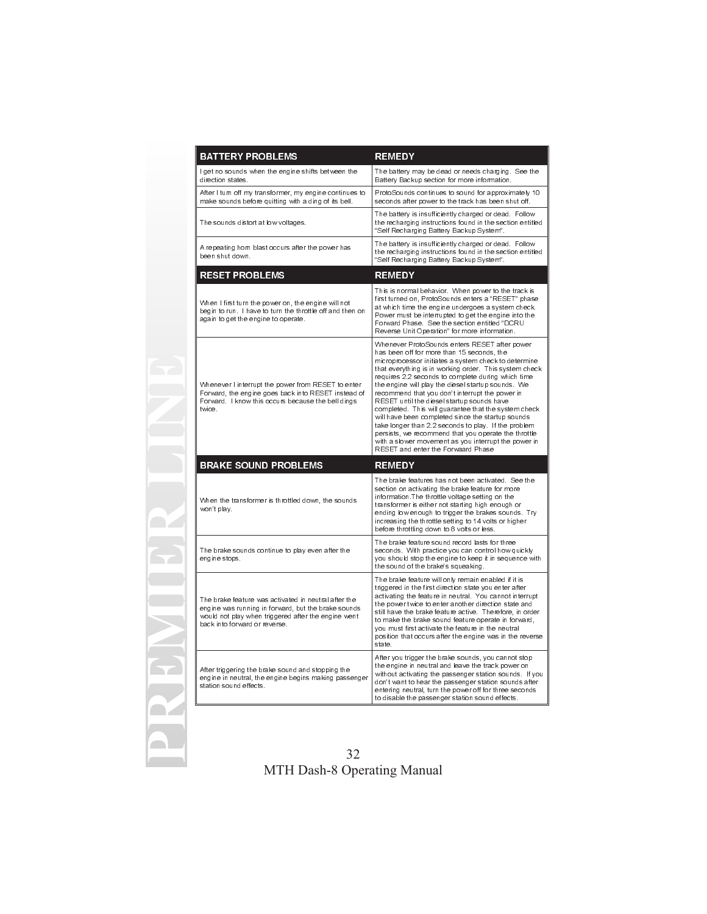| <b>BATTERY PROBLEMS</b>                                                                                                                                                                             | <b>REMEDY</b>                                                                                                                                                                                                                                                                                                                                                                                                                                                                                                                                                                                                                                                                                                                                         |
|-----------------------------------------------------------------------------------------------------------------------------------------------------------------------------------------------------|-------------------------------------------------------------------------------------------------------------------------------------------------------------------------------------------------------------------------------------------------------------------------------------------------------------------------------------------------------------------------------------------------------------------------------------------------------------------------------------------------------------------------------------------------------------------------------------------------------------------------------------------------------------------------------------------------------------------------------------------------------|
| l get no sounds when the engine shifts between the<br>direction states.                                                                                                                             | The battery may be dead or needs charging. See the<br>Battery Backup section for more information.                                                                                                                                                                                                                                                                                                                                                                                                                                                                                                                                                                                                                                                    |
| After I turn off my transformer, my engine continues to<br>make sounds before quitting with a ding of its bell.                                                                                     | ProtoSounds continues to sound for approximately 10<br>seconds after power to the track has been shut off.                                                                                                                                                                                                                                                                                                                                                                                                                                                                                                                                                                                                                                            |
| The sounds distort at low voltages.                                                                                                                                                                 | The battery is insufficiently charged or dead. Follow<br>the recharging instructions found in the section entitled<br>"Self Recharging Battery Backup System".                                                                                                                                                                                                                                                                                                                                                                                                                                                                                                                                                                                        |
| A repeating horn blast occurs after the power has<br>been shut down.                                                                                                                                | The battery is insufficiently charged or dead. Follow<br>the recharging instructions found in the section entitled<br>"Self Recharging Battery Backup System".                                                                                                                                                                                                                                                                                                                                                                                                                                                                                                                                                                                        |
| <b>RESET PROBLEMS</b>                                                                                                                                                                               | <b>REMEDY</b>                                                                                                                                                                                                                                                                                                                                                                                                                                                                                                                                                                                                                                                                                                                                         |
| When I first turn the power on, the engine will not<br>begin to run. I have to turn the throttle off and then on<br>again to get the engine to operate.                                             | This is normal behavior. When power to the track is<br>first turned on, ProtoSounds enters a "RESET" phase<br>at which time the engine undergoes a system check.<br>Power must be interrupted to get the engine into the<br>Forward Phase. See the section entitled "DCRU<br>Reverse Unit Operation" for more information.                                                                                                                                                                                                                                                                                                                                                                                                                            |
| Whenever I interrupt the power from RESET to enter<br>Forward, the engine goes back into RESET instead of<br>Forward. I know this occurs because the bell dings<br>twice                            | Whenever ProtoSounds enters RESET after power<br>has been off for more than 15 seconds, the<br>microprocessor initiates a system check to determine<br>that everything is in working order. This system check<br>requires 2.2 seconds to complete during which time<br>the engine will play the diesel startup sounds. We<br>recommend that you don't interrupt the power in<br>RESET until the diesel startup sounds have<br>completed. This will guarantee that the system check<br>will have been completed since the startup sounds<br>take longer than 2.2 seconds to play. If the problem<br>persists, we recommend that you operate the throttle<br>with a slower movement as you interrupt the power in<br>RESET and enter the Forwaard Phase |
| <b>BRAKE SOUND PROBLEMS</b>                                                                                                                                                                         | <b>REMEDY</b>                                                                                                                                                                                                                                                                                                                                                                                                                                                                                                                                                                                                                                                                                                                                         |
| When the transformer is throttled down, the sounds<br>won't play.                                                                                                                                   | The brake features has not been activated. See the<br>section on activating the brake feature for more<br>information.The throttle voltage setting on the<br>transformer is either not starting high enough or<br>ending low enough to trigger the brakes sounds. Try<br>increasing the throttle setting to 14 volts or higher<br>before throttling down to 8 volts or less.                                                                                                                                                                                                                                                                                                                                                                          |
| The brake sounds continue to play even after the<br>engine stops.                                                                                                                                   | The brake feature sound record lasts for three<br>seconds. With practice you can control how quickly<br>you should stop the engine to keep it in sequence with<br>the sound of the brake's squeaking.                                                                                                                                                                                                                                                                                                                                                                                                                                                                                                                                                 |
| The brake feature was activated in neutral after the<br>engine was running in forward, but the brake sounds<br>would not play when triggered after the engine went<br>back into forward or reverse. | The brake feature will only remain enabled if it is<br>triggered in the first direction state you enter after<br>activating the feature in neutral. You cannot interrupt<br>the power twice to enter another direction state and<br>still have the brake feature active. Therefore, in order<br>to make the brake sound feature operate in forward.<br>you must first activate the feature in the neutral<br>position that occurs after the engine was in the reverse<br>state                                                                                                                                                                                                                                                                        |
| After triggering the brake sound and stopping the<br>engine in neutral, the engine begins making passenger<br>station sound effects                                                                 | After you trigger the brake sounds, you cannot stop<br>the engine in neutral and leave the track power on<br>without activating the passenger station sounds. If you<br>don't want to hear the passenger station sounds after<br>entering neutral, turn the power off for three seconds<br>to disable the passenger station sound effects.                                                                                                                                                                                                                                                                                                                                                                                                            |

**PREMIER LINE**

E

 $\blacktriangle$ 

Œ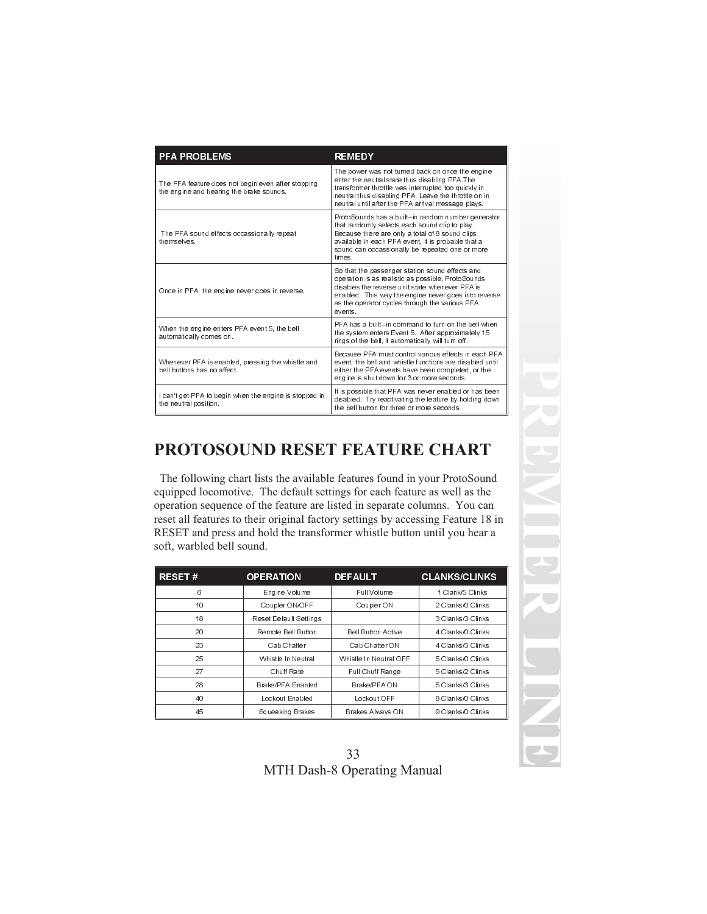| <b>PFA PROBLEMS</b>                                                                            | <b>REMEDY</b>                                                                                                                                                                                                                                                                |
|------------------------------------------------------------------------------------------------|------------------------------------------------------------------------------------------------------------------------------------------------------------------------------------------------------------------------------------------------------------------------------|
| The PFA feature does not begin even after stopping<br>the engine and hearing the brake sounds. | The power was not turned back on once the engine<br>enter the neutral state thus disabling PFA The<br>transformer throttle was interrupted too quickly in<br>neutral thus disabling PFA. Leave the throttle on in<br>neutral until after the PFA arrival message plays.      |
| The PFA sound effects occassionally repeat<br>themselves                                       | ProtoSounds has a built--in random number generator<br>that randomly selects each sound clip to play.<br>Because there are only a total of 8 sound clips<br>available in each PFA event it is probable that a<br>sound can occassionally be repeated one or more<br>times    |
| Once in PFA, the engine never goes in reverse.                                                 | So that the passenger station sound effects and<br>operation is as realistic as possible. ProtoSounds<br>disables the reverse unit state whenever PFA is<br>enabled. This way the engine never goes into reverse<br>as the operator cycles through the various PFA<br>events |
| When the engine enters PFA event 5, the bell<br>automatically comes on.                        | PFA has a built--in command to turn on the bell when<br>the system enters Event 5. After approximately 15<br>rings of the bell, it automatically will turn off.                                                                                                              |
| Whenever PFA is enabled, pressing the whistle and<br>bell buttons has no affect                | Because PFA must control various effects in each PFA<br>event, the bell and whistle functions are disabled until<br>either the PFA events have been completed, or the<br>engine is shut down for 3 or more seconds.                                                          |
| can't get PFA to begin when the engine is stopped in<br>the neutral position.                  | It is possible that PFA was never enabled or has been<br>disabled. Try reactivating the feature by holding down<br>the bell button for three or more seconds                                                                                                                 |

# **PROTOSOUND RESET FEATURE CHART**

The following chart lists the available features found in your ProtoSound equipped locomotive. The default settings for each feature as well as the operation sequence of the feature are listed in separate columns. You can reset all features to their original factory settings by accessing Feature 18 in RESET and press and hold the transformer whistle button until you hear a soft, warbled bell sound.

| <b>RESET#</b> | <b>OPERATION</b>       | <b>DEFAULT</b>            | <b>CLANKS/CLINKS</b> |
|---------------|------------------------|---------------------------|----------------------|
| 6             | Engine Volume          | Full Volume               | 1 Clank/5 Clinks     |
| 10            | Coupler ON/OFF         | Coupler ON                | 2 Clanks/0 Clinks    |
| 18            | Reset Default Settings |                           | 3 Clanks/3 Clinks    |
| 20            | Remote Bell Button     | <b>Bell Button Active</b> | 4 Clanks/0 Clinks    |
| 23            | Cab Chatter            | Cab Chatter ON            | 4 Clanks/3 Clinks    |
| 25            | Whistle In Neutral     | Whistle In Neutral OFF    | 5 Clanks/0 Clinks    |
| 27            | Chuff Rate             | Full Chuff Range          | 5 Clanks/2 Clinks    |
| 28            | Brake/PFA Enabled      | Brake/PFA ON              | 5 Clanks/3 Clinks    |
| 40            | Lockout Enabled        | Lockout OFF               | 8 Clanks/0 Clinks    |
| 45            | Squeaking Brakes       | Brakes Always ON          | 9 Clanks/0 Clinks    |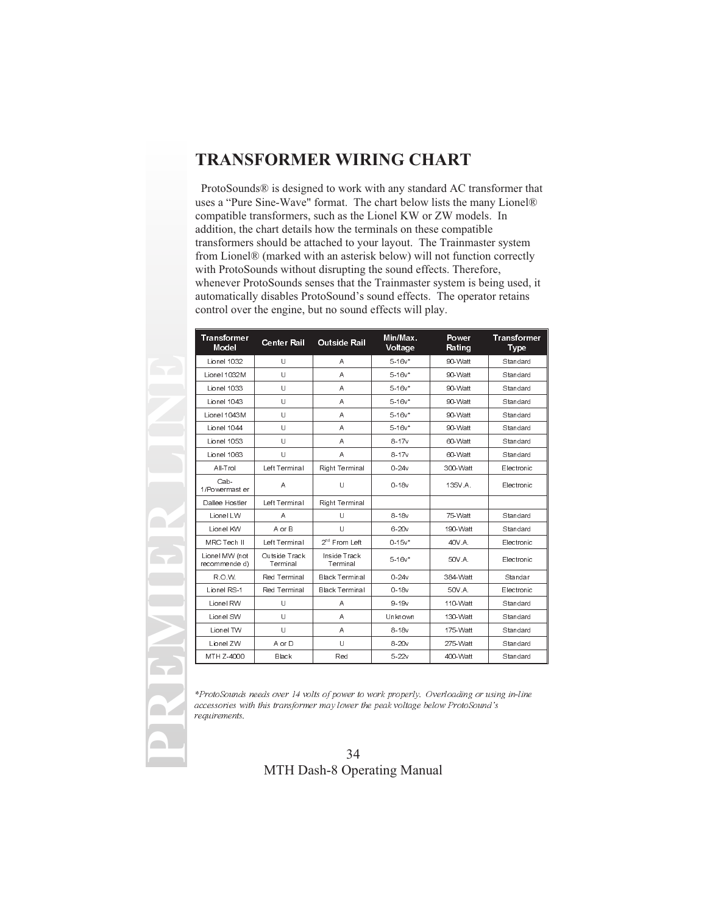## **TRANSFORMER WIRING CHART**

ProtoSounds® is designed to work with any standard AC transformer that uses a "Pure Sine-Wave" format. The chart below lists the many Lionel® compatible transformers, such as the Lionel KW or ZW models. In addition, the chart details how the terminals on these compatible transformers should be attached to your layout. The Trainmaster system from Lionel® (marked with an asterisk below) will not function correctly with ProtoSounds without disrupting the sound effects. Therefore, whenever ProtoSounds senses that the Trainmaster system is being used, it automatically disables ProtoSound's sound effects. The operator retains control over the engine, but no sound effects will play.

| <b>Transformer</b><br>Model     | <b>Center Rail</b>        | <b>Outside Rail</b>       | Min/Max.<br>Voltage | Power<br>Rating | <b>Transformer</b><br>Type |
|---------------------------------|---------------------------|---------------------------|---------------------|-----------------|----------------------------|
| Lionel 1032                     | U                         | Α                         | $5.16v*$            | 90 Watt         | Standard                   |
| Lionel 1032M                    | U                         | Α                         | $5.16v*$            | 90-Watt         | Standard                   |
| Lionel 1033                     | U                         | A                         | $5.16v*$            | 90 Watt         | Standard                   |
| Lionel 1043                     | U                         | A                         | $5.16v*$            | 90 Watt         | Standard                   |
| Lionel 1043M                    | U                         | A                         | $5.16v*$            | 90 Watt         | Standard                   |
| Lionel 1044                     | Ü                         | Α                         | $5.16v*$            | 90-Watt         | Standard                   |
| Lionel 1053                     | Ü                         | A                         | $8 - 17v$           | 60-Watt         | Standard                   |
| Lionel 1063                     | U                         | A                         | $8 - 17v$           | 60-Watt         | Standard                   |
| All-Trol                        | Left Terminal             | Right Terminal            | $0 - 24v$           | 300 Watt        | Electronic                 |
| Cab-<br>1/Powermast er          | A                         | Ù                         | $0-18v$             | 135V A          | Electronic                 |
| Dallee Hostler                  | Left Terminal             | Right Terminal            |                     |                 |                            |
| Lionel LW                       | A                         | U                         | $8 - 18v$           | 75 Watt         | Standard                   |
| Lionel KW                       | A or B                    | $\mathbf{U}$              | $6 - 20v$           | 190-Watt        | Standard                   |
| MRC Tech II                     | Left Terminal             | 2 <sup>nd</sup> From Left | $0.15v*$            | 40V A           | Electronic                 |
| Lionel MW (not<br>recommende d) | Outside Track<br>Terminal | Inside Track<br>Terminal  | $5.16v*$            | 50V A           | Electronic                 |
| R.O.W.                          | Red Terminal              | Black Terminal            | $0 - 24v$           | 384-Watt        | Standar                    |
| Lionel RS-1                     | Red Terminal              | <b>Black Terminal</b>     | $0 - 18v$           | 50V A           | Electronic                 |
| Lionel RW                       | U                         | Α                         | $9 - 19v$           | 110-Watt        | Standard                   |
| Lionel SW                       | U                         | A                         | Unknown             | 130-Watt        | Standard                   |
| Lionel TW                       | U                         | A                         | $8-18v$             | 175-Watt        | Standard                   |
| Lionel ZW                       | A or D                    | Ü                         | $8 - 20v$           | 275-Watt        | Standard                   |
| MTH Z-4000                      | Black                     | Red                       | $5 - 22v$           | 400-Watt        | Standard                   |

**PREMIER LINE**

\*ProtoSounds needs over 14 volts of power to work properly. Overloading or using in-line accessories with this transformer may lower the peak voltage below ProtoSound's requirements.

#### 34 MTH Dash-8 Operating Manual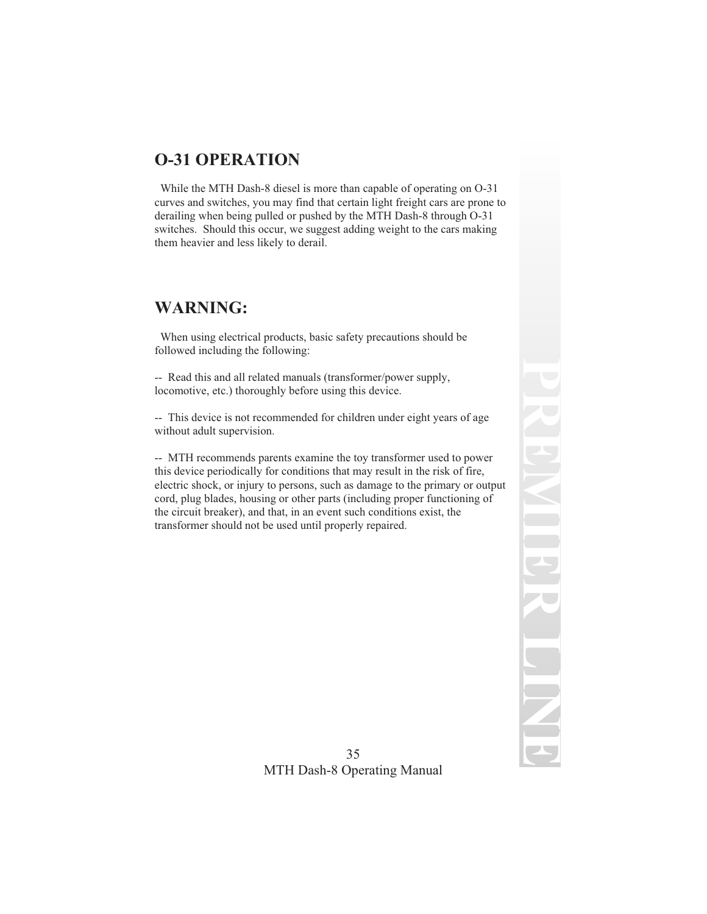# **O-31 OPERATION**

While the MTH Dash-8 diesel is more than capable of operating on O-31 curves and switches, you may find that certain light freight cars are prone to derailing when being pulled or pushed by the MTH Dash-8 through O-31 switches. Should this occur, we suggest adding weight to the cars making them heavier and less likely to derail.

## **WARNING:**

When using electrical products, basic safety precautions should be followed including the following:

-- Read this and all related manuals (transformer/power supply, locomotive, etc.) thoroughly before using this device.

-- This device is not recommended for children under eight years of age without adult supervision.

-- MTH recommends parents examine the toy transformer used to power this device periodically for conditions that may result in the risk of fire, electric shock, or injury to persons, such as damage to the primary or output cord, plug blades, housing or other parts (including proper functioning of the circuit breaker), and that, in an event such conditions exist, the transformer should not be used until properly repaired.